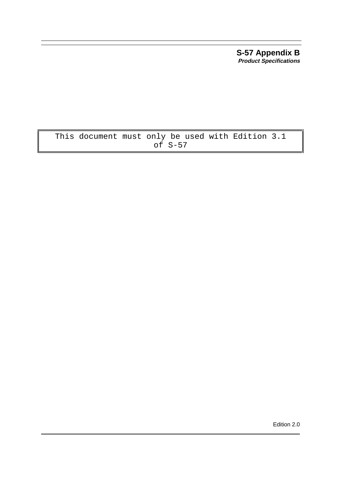**S-57 Appendix B Product Specifications**

# This document must only be used with Edition 3.1  $of S-57$

Edition 2.0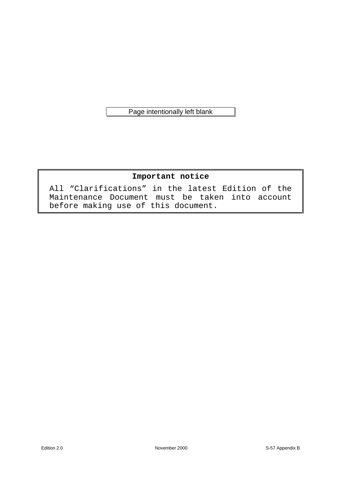Page intentionally left blank

# **Important notice**

All "Clarifications" in the latest Edition of the Maintenance Document must be taken into account before making use of this document.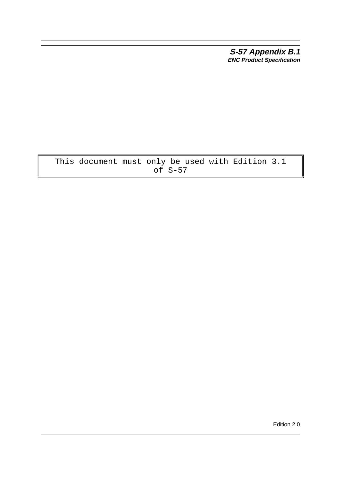**S-57 Appendix B.1 ENC Product Specification**

This document must only be used with Edition 3.1 of S-57

Edition 2.0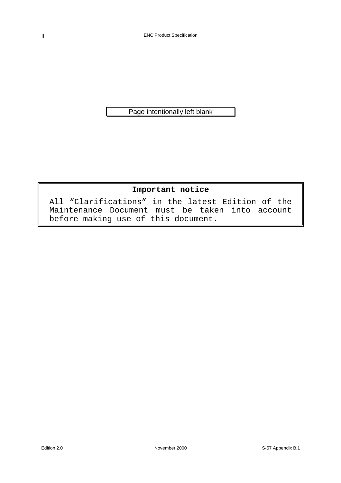Page intentionally left blank

# **Important notice**

All "Clarifications" in the latest Edition of the Maintenance Document must be taken into account before making use of this document.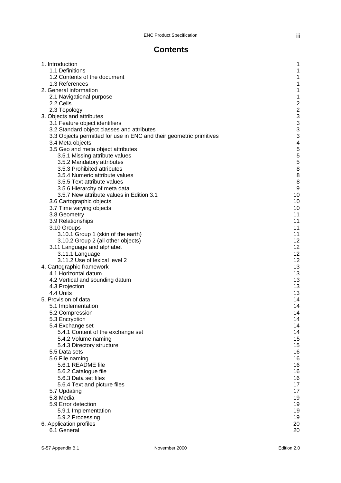iii

# **Contents**

| 1. Introduction                                                     | 1                                                |
|---------------------------------------------------------------------|--------------------------------------------------|
| 1.1 Definitions                                                     | 1                                                |
| 1.2 Contents of the document                                        | 1                                                |
| 1.3 References                                                      | 1                                                |
| 2. General information                                              | 1                                                |
| 2.1 Navigational purpose                                            | 1                                                |
| 2.2 Cells                                                           |                                                  |
|                                                                     |                                                  |
| 2.3 Topology                                                        |                                                  |
| 3. Objects and attributes                                           | $\begin{array}{c}\n 2 \\  2 \\  3\n \end{array}$ |
| 3.1 Feature object identifiers                                      |                                                  |
| 3.2 Standard object classes and attributes                          | 3                                                |
| 3.3 Objects permitted for use in ENC and their geometric primitives | 3                                                |
| 3.4 Meta objects                                                    | 4                                                |
| 3.5 Geo and meta object attributes                                  | 5                                                |
| 3.5.1 Missing attribute values                                      | 5                                                |
| 3.5.2 Mandatory attributes                                          | 5                                                |
| 3.5.3 Prohibited attributes                                         | 8                                                |
| 3.5.4 Numeric attribute values                                      | 8                                                |
| 3.5.5 Text attribute values                                         | 8                                                |
| 3.5.6 Hierarchy of meta data                                        | 9                                                |
| 3.5.7 New attribute values in Edition 3.1                           | 10                                               |
| 3.6 Cartographic objects                                            | 10                                               |
| 3.7 Time varying objects                                            | 10                                               |
| 3.8 Geometry                                                        | 11                                               |
| 3.9 Relationships                                                   | 11                                               |
| 3.10 Groups                                                         | 11                                               |
| 3.10.1 Group 1 (skin of the earth)                                  | 11                                               |
| 3.10.2 Group 2 (all other objects)                                  | 12                                               |
| 3.11 Language and alphabet                                          | 12                                               |
|                                                                     | 12                                               |
| 3.11.1 Language                                                     | 12                                               |
| 3.11.2 Use of lexical level 2                                       | 13                                               |
| 4. Cartographic framework                                           |                                                  |
| 4.1 Horizontal datum                                                | 13                                               |
| 4.2 Vertical and sounding datum                                     | 13                                               |
| 4.3 Projection                                                      | 13                                               |
| 4.4 Units                                                           | 13                                               |
| 5. Provision of data                                                | 14                                               |
| 5.1 Implementation                                                  | 14                                               |
| 5.2 Compression                                                     | 14                                               |
| 5.3 Encryption                                                      | 14                                               |
| 5.4 Exchange set                                                    | 14                                               |
| 5.4.1 Content of the exchange set                                   | 14                                               |
| 5.4.2 Volume naming                                                 | 15                                               |
| 5.4.3 Directory structure                                           | 15                                               |
| 5.5 Data sets                                                       | 16                                               |
| 5.6 File naming                                                     | 16                                               |
| 5.6.1 README file                                                   | 16                                               |
| 5.6.2 Catalogue file                                                | 16                                               |
| 5.6.3 Data set files                                                | 16                                               |
| 5.6.4 Text and picture files                                        | 17                                               |
| 5.7 Updating                                                        | 17                                               |
| 5.8 Media                                                           | 19                                               |
| 5.9 Error detection                                                 | 19                                               |
| 5.9.1 Implementation                                                | 19                                               |
| 5.9.2 Processing                                                    | 19                                               |
| 6. Application profiles                                             | 20                                               |
| 6.1 General                                                         | 20                                               |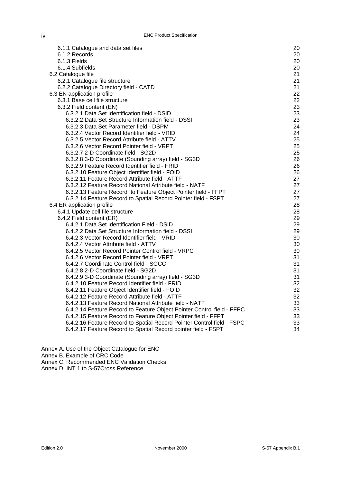| 6.1.1 Catalogue and data set files                                     | 20 |
|------------------------------------------------------------------------|----|
| 6.1.2 Records                                                          | 20 |
| 6.1.3 Fields                                                           | 20 |
| 6.1.4 Subfields                                                        | 20 |
| 6.2 Catalogue file                                                     | 21 |
| 6.2.1 Catalogue file structure                                         | 21 |
| 6.2.2 Catalogue Directory field - CATD                                 | 21 |
|                                                                        | 22 |
| 6.3 EN application profile                                             |    |
| 6.3.1 Base cell file structure                                         | 22 |
| 6.3.2 Field content (EN)                                               | 23 |
| 6.3.2.1 Data Set Identification field - DSID                           | 23 |
| 6.3.2.2 Data Set Structure Information field - DSSI                    | 23 |
| 6.3.2.3 Data Set Parameter field - DSPM                                | 24 |
| 6.3.2.4 Vector Record Identifier field - VRID                          | 24 |
| 6.3.2.5 Vector Record Attribute field - ATTV                           | 25 |
| 6.3.2.6 Vector Record Pointer field - VRPT                             | 25 |
| 6.3.2.7 2-D Coordinate field - SG2D                                    | 25 |
| 6.3.2.8 3-D Coordinate (Sounding array) field - SG3D                   | 26 |
| 6.3.2.9 Feature Record Identifier field - FRID                         | 26 |
| 6.3.2.10 Feature Object Identifier field - FOID                        | 26 |
| 6.3.2.11 Feature Record Attribute field - ATTF                         | 27 |
| 6.3.2.12 Feature Record National Attribute field - NATF                | 27 |
| 6.3.2.13 Feature Record to Feature Object Pointer field - FFPT         | 27 |
| 6.3.2.14 Feature Record to Spatial Record Pointer field - FSPT         | 27 |
|                                                                        |    |
| 6.4 ER application profile                                             | 28 |
| 6.4.1 Update cell file structure                                       | 28 |
| 6.4.2 Field content (ER)                                               | 29 |
| 6.4.2.1 Data Set Identification Field - DSID                           | 29 |
| 6.4.2.2 Data Set Structure Information field - DSSI                    | 29 |
| 6.4.2.3 Vector Record Identifier field - VRID                          | 30 |
| 6.4.2.4 Vector Attribute field - ATTV                                  | 30 |
| 6.4.2.5 Vector Record Pointer Control field - VRPC                     | 30 |
| 6.4.2.6 Vector Record Pointer field - VRPT                             | 31 |
| 6.4.2.7 Coordinate Control field - SGCC                                | 31 |
| 6.4.2.8 2-D Coordinate field - SG2D                                    | 31 |
| 6.4.2.9 3-D Coordinate (Sounding array) field - SG3D                   | 31 |
| 6.4.2.10 Feature Record Identifier field - FRID                        | 32 |
| 6.4.2.11 Feature Object Identifier field - FOID                        | 32 |
| 6.4.2.12 Feature Record Attribute field - ATTF                         | 32 |
| 6.4.2.13 Feature Record National Attribute field - NATF                | 33 |
| 6.4.2.14 Feature Record to Feature Object Pointer Control field - FFPC | 33 |
|                                                                        | 33 |
| 6.4.2.15 Feature Record to Feature Object Pointer field - FFPT         |    |
| 6.4.2.16 Feature Record to Spatial Record Pointer Control field - FSPC | 33 |
| 6.4.2.17 Feature Record to Spatial Record pointer field - FSPT         | 34 |

Annex A. Use of the Object Catalogue for ENC

Annex B. Example of CRC Code

Annex C. Recommended ENC Validation Checks

Annex D. INT 1 to S-57Cross Reference

iv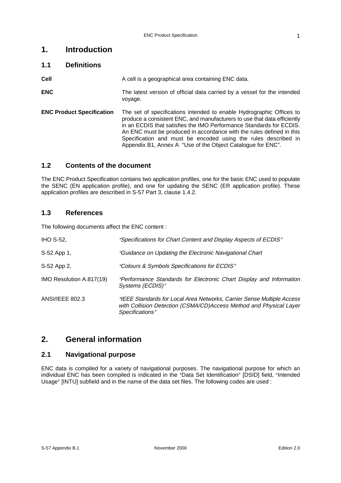# **1. Introduction**

## **1.1 Definitions**

**Cell Cell** A cell is a geographical area containing ENC data.

- **ENC** The latest version of official data carried by a vessel for the intended voyage.
- **ENC Product Specification** The set of specifications intended to enable Hydrographic Offices to produce a consistent ENC, and manufacturers to use that data efficiently in an ECDIS that satisfies the IMO Performance Standards for ECDIS. An ENC must be produced in accordance with the rules defined in this Specification and must be encoded using the rules described in Appendix B1, Annex A "Use of the Object Catalogue for ENC".

## **1.2 Contents of the document**

The ENC Product Specification contains two application profiles, one for the basic ENC used to populate the SENC (EN application profile), and one for updating the SENC (ER application profile). These application profiles are described in S-57 Part 3, clause 1.4.2.

## **1.3 References**

The following documents affect the ENC content :

| <b>IHO S-52,</b>         | "Specifications for Chart Content and Display Aspects of ECDIS"                                                                                                 |
|--------------------------|-----------------------------------------------------------------------------------------------------------------------------------------------------------------|
| S-52 App 1,              | "Guidance on Updating the Electronic Navigational Chart                                                                                                         |
| S-52 App 2,              | "Colours & Symbols Specifications for ECDIS"                                                                                                                    |
| IMO Resolution A.817(19) | "Performance Standards for Electronic Chart Display and Information<br>Systems (ECDIS)"                                                                         |
| <b>ANSI/IEEE 802.3</b>   | "IEEE Standards for Local Area Networks, Carrier Sense Multiple Access<br>with Collision Detection (CSMA/CD)Access Method and Physical Layer<br>Specifications" |

## **2. General information**

## **2.1 Navigational purpose**

ENC data is compiled for a variety of navigational purposes. The navigational purpose for which an individual ENC has been compiled is indicated in the "Data Set Identification" [DSID] field, "Intended Usage" [INTU] subfield and in the name of the data set files. The following codes are used :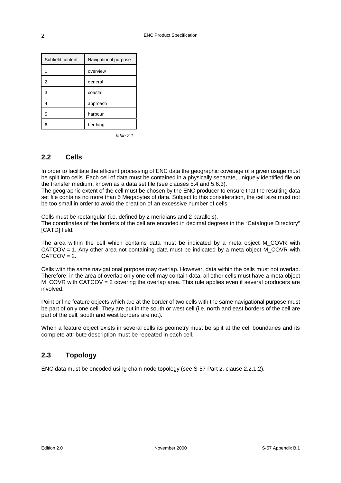| Subfield content | Navigational purpose |
|------------------|----------------------|
|                  | overview             |
| 2                | general              |
| 3                | coastal              |
| 4                | approach             |
| 5                | harbour              |
| 6                | berthing             |

table 2.1

## **2.2 Cells**

In order to facilitate the efficient processing of ENC data the geographic coverage of a given usage must be split into cells. Each cell of data must be contained in a physically separate, uniquely identified file on the transfer medium, known as a data set file (see clauses 5.4 and 5.6.3).

The geographic extent of the cell must be chosen by the ENC producer to ensure that the resulting data set file contains no more than 5 Megabytes of data. Subject to this consideration, the cell size must not be too small in order to avoid the creation of an excessive number of cells.

Cells must be rectangular (i.e. defined by 2 meridians and 2 parallels). The coordinates of the borders of the cell are encoded in decimal degrees in the "Catalogue Directory" **[CATD]** field.

The area within the cell which contains data must be indicated by a meta object M\_COVR with CATCOV = 1. Any other area not containing data must be indicated by a meta object M\_COVR with  $CATCOV = 2.$ 

Cells with the same navigational purpose may overlap. However, data within the cells must not overlap. Therefore, in the area of overlap only one cell may contain data, all other cells must have a meta object  $M$  COVR with CATCOV = 2 covering the overlap area. This rule applies even if several producers are involved.

Point or line feature objects which are at the border of two cells with the same navigational purpose must be part of only one cell. They are put in the south or west cell (i.e. north and east borders of the cell are part of the cell, south and west borders are not).

When a feature object exists in several cells its geometry must be split at the cell boundaries and its complete attribute description must be repeated in each cell.

## **2.3 Topology**

ENC data must be encoded using chain-node topology (see S-57 Part 2, clause 2.2.1.2).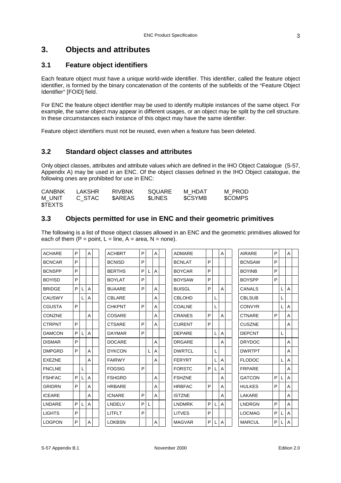# **3. Objects and attributes**

## **3.1 Feature object identifiers**

Each feature object must have a unique world-wide identifier. This identifier, called the feature object identifier, is formed by the binary concatenation of the contents of the subfields of the "Feature Object Identifier" [FOID] field.

For ENC the feature object identifier may be used to identify multiple instances of the same object. For example, the same object may appear in different usages, or an object may be split by the cell structure. In these circumstances each instance of this object may have the same identifier.

Feature object identifiers must not be reused, even when a feature has been deleted.

## **3.2 Standard object classes and attributes**

Only object classes, attributes and attribute values which are defined in the IHO Object Catalogue (S-57, Appendix A) may be used in an ENC. Of the object classes defined in the IHO Object catalogue, the following ones are prohibited for use in ENC:

| <b>CANBNK</b> | LAKSHR | RIVBNK        | SQUARE        | M HDAT        | M PROD  |
|---------------|--------|---------------|---------------|---------------|---------|
| M UNIT        | C STAC | <b>SAREAS</b> | <b>SLINES</b> | <b>SCSYMB</b> | \$COMPS |
| <b>STEXTS</b> |        |               |               |               |         |

## **3.3 Objects permitted for use in ENC and their geometric primitives**

The following is a list of those object classes allowed in an ENC and the geometric primitives allowed for each of them  $(P = point, L = line, A = area, N = none)$ .

| <b>ACHARE</b> | P |   | A |  | <b>ACHBRT</b> | P |   | A              |  | <b>ADMARE</b> |    |   | A | <b>AIRARE</b> | P |   | $\mathsf{A}$ |  |
|---------------|---|---|---|--|---------------|---|---|----------------|--|---------------|----|---|---|---------------|---|---|--------------|--|
| <b>BCNCAR</b> | P |   |   |  | <b>BCNISD</b> | P |   |                |  | <b>BCNLAT</b> | P  |   |   | <b>BCNSAW</b> | P |   |              |  |
| <b>BCNSPP</b> | P |   |   |  | <b>BERTHS</b> | P |   | $\overline{A}$ |  | <b>BOYCAR</b> | P  |   |   | <b>BOYINB</b> | P |   |              |  |
| <b>BOYISD</b> | P |   |   |  | <b>BOYLAT</b> | P |   |                |  | <b>BOYSAW</b> | P  |   |   | <b>BOYSPP</b> | P |   |              |  |
| <b>BRIDGE</b> | P | L | A |  | <b>BUAARE</b> | P |   | $\overline{A}$ |  | <b>BUISGL</b> | P  |   | A | <b>CANALS</b> |   |   | A            |  |
| <b>CAUSWY</b> |   | L | Α |  | <b>CBLARE</b> |   |   | $\overline{A}$ |  | CBLOHD        |    |   |   | <b>CBLSUB</b> |   |   |              |  |
| CGUSTA        | P |   |   |  | <b>CHKPNT</b> | P |   | $\overline{A}$ |  | <b>COALNE</b> |    |   |   | <b>CONVYR</b> |   |   | A            |  |
| <b>CONZNE</b> |   |   | A |  | COSARE        |   |   | $\overline{A}$ |  | <b>CRANES</b> | P  |   | A | <b>CTNARE</b> | P |   | A            |  |
| <b>CTRPNT</b> | P |   |   |  | <b>CTSARE</b> | P |   | $\overline{A}$ |  | <b>CURENT</b> | P  |   |   | <b>CUSZNE</b> |   |   | A            |  |
| <b>DAMCON</b> | P | L | A |  | <b>DAYMAR</b> | P |   |                |  | <b>DEPARE</b> |    |   | A | <b>DEPCNT</b> |   | L |              |  |
| <b>DISMAR</b> | P |   |   |  | <b>DOCARE</b> |   |   | A              |  | <b>DRGARE</b> |    |   | A | <b>DRYDOC</b> |   |   | A            |  |
| <b>DMPGRD</b> | P |   | A |  | <b>DYKCON</b> |   | L | $\overline{A}$ |  | <b>DWRTCL</b> |    | L |   | <b>DWRTPT</b> |   |   | A            |  |
| <b>EXEZNE</b> |   |   | A |  | <b>FAIRWY</b> |   |   | A              |  | <b>FERYRT</b> |    |   | A | <b>FLODOC</b> |   |   | A            |  |
| <b>FNCLNE</b> |   | L |   |  | <b>FOGSIG</b> | P |   |                |  | <b>FORSTC</b> | P  |   | Α | <b>FRPARE</b> |   |   | A            |  |
| <b>FSHFAC</b> | P | L | A |  | <b>FSHGRD</b> |   |   | $\overline{A}$ |  | <b>FSHZNE</b> |    |   | A | <b>GATCON</b> | P |   | A            |  |
| <b>GRIDRN</b> | P |   | A |  | <b>HRBARE</b> |   |   | $\overline{A}$ |  | <b>HRBFAC</b> | P  |   | A | <b>HULKES</b> | P |   | A            |  |
| <b>ICEARE</b> |   |   | A |  | <b>ICNARE</b> | P |   | $\overline{A}$ |  | <b>ISTZNE</b> |    |   | A | LAKARE        |   |   | A            |  |
| LNDARE        | P | L | Α |  | LNDELV        | P | L |                |  | <b>LNDMRK</b> | P. |   | A | <b>LNDRGN</b> | P |   | A            |  |
| <b>LIGHTS</b> | P |   |   |  | <b>LITFLT</b> | P |   |                |  | <b>LITVES</b> | P  |   |   | <b>LOCMAG</b> | P |   | A            |  |
| <b>LOGPON</b> | P |   | A |  | <b>LOKBSN</b> |   |   | A              |  | <b>MAGVAR</b> | P. |   | A | <b>MARCUL</b> | P |   | A            |  |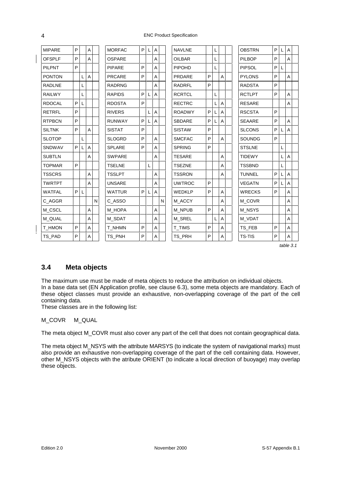#### ENC Product Specification

| <b>MIPARE</b> | P  |              | A              |   | <b>MORFAC</b> | P. |   | A              |   | <b>NAVLNE</b> |         | L |   | <b>OBSTRN</b> | P | L | A |  |
|---------------|----|--------------|----------------|---|---------------|----|---|----------------|---|---------------|---------|---|---|---------------|---|---|---|--|
| <b>OFSPLF</b> | P  |              | A              |   | <b>OSPARE</b> |    |   | A              |   | <b>OILBAR</b> |         | L |   | <b>PILBOP</b> | P |   | A |  |
| <b>PILPNT</b> | P  |              |                |   | <b>PIPARE</b> | P  |   | A              |   | PIPOHD        |         | L |   | <b>PIPSOL</b> | P | L |   |  |
| <b>PONTON</b> |    |              | A              |   | <b>PRCARE</b> | P  |   | A              |   | <b>PRDARE</b> | P       |   | A | <b>PYLONS</b> | P |   | A |  |
| <b>RADLNE</b> |    |              |                |   | <b>RADRNG</b> |    |   | A              |   | <b>RADRFL</b> | P       |   |   | <b>RADSTA</b> | P |   |   |  |
| <b>RAILWY</b> |    | L            |                |   | <b>RAPIDS</b> | P  |   | $\overline{A}$ |   | <b>RCRTCL</b> |         | L |   | <b>RCTLPT</b> | P |   | A |  |
| <b>RDOCAL</b> | P  |              |                |   | <b>RDOSTA</b> | P  |   |                |   | <b>RECTRC</b> |         |   | A | <b>RESARE</b> |   |   | A |  |
| <b>RETRFL</b> | P  |              |                |   | <b>RIVERS</b> |    | L | $\overline{A}$ |   | <b>ROADWY</b> | $\sf P$ | L | A | <b>RSCSTA</b> | P |   |   |  |
| <b>RTPBCN</b> | P  |              |                |   | <b>RUNWAY</b> | P  |   | A              |   | <b>SBDARE</b> | P       |   | A | <b>SEAARE</b> | P |   | A |  |
| <b>SILTNK</b> | P  |              | $\overline{A}$ |   | <b>SISTAT</b> | P  |   |                |   | <b>SISTAW</b> | P       |   |   | <b>SLCONS</b> | P |   | A |  |
| <b>SLOTOP</b> |    | L            |                |   | <b>SLOGRD</b> | P  |   | $\overline{A}$ |   | <b>SMCFAC</b> | P       |   | A | <b>SOUNDG</b> | P |   |   |  |
| SNDWAV        | P. |              | A              |   | <b>SPLARE</b> | P  |   | A              |   | <b>SPRING</b> | P       |   |   | <b>STSLNE</b> |   | L |   |  |
| <b>SUBTLN</b> |    |              | A              |   | <b>SWPARE</b> |    |   | A              |   | <b>TESARE</b> |         |   | Α | <b>TIDEWY</b> |   |   | Α |  |
| <b>TOPMAR</b> | P  |              |                |   | <b>TSELNE</b> |    | L |                |   | <b>TSEZNE</b> |         |   | A | <b>TSSBND</b> |   | L |   |  |
| <b>TSSCRS</b> |    |              | A              |   | <b>TSSLPT</b> |    |   | A              |   | <b>TSSRON</b> |         |   | A | <b>TUNNEL</b> | P |   | A |  |
| <b>TWRTPT</b> |    |              | A              |   | <b>UNSARE</b> |    |   | $\overline{A}$ |   | <b>UWTROC</b> | P       |   |   | <b>VEGATN</b> | P |   | A |  |
| <b>WATFAL</b> | P  | $\mathsf{L}$ |                |   | <b>WATTUR</b> | P  | L | $\overline{A}$ |   | <b>WEDKLP</b> | P       |   | A | <b>WRECKS</b> | P |   | A |  |
| C_AGGR        |    |              |                | N | C ASSO        |    |   |                | N | M_ACCY        |         |   | A | M_COVR        |   |   | A |  |
| M_CSCL        |    |              | A              |   | M HOPA        |    |   | A              |   | M_NPUB        | P       |   | A | M_NSYS        |   |   | Α |  |
| M QUAL        |    |              | A              |   | M SDAT        |    |   | $\overline{A}$ |   | M SREL        |         | L | A | M VDAT        |   |   | A |  |
| T_HMON        | P  |              | A              |   | T_NHMN        | P  |   | A              |   | <b>T_TIMS</b> | P       |   | A | TS_FEB        | P |   | A |  |
| TS PAD        | P  |              | A              |   | TS PNH        | P  |   | A              |   | TS PRH        | P       |   | A | <b>TS-TIS</b> | P |   | A |  |
|               |    |              |                |   |               |    |   |                |   |               |         |   |   |               |   |   |   |  |

table 3.1

## **3.4 Meta objects**

The maximum use must be made of meta objects to reduce the attribution on individual objects. In a base data set (EN Application profile, see clause 6.3), some meta objects are mandatory. Each of these object classes must provide an exhaustive, non-overlapping coverage of the part of the cell containing data.

These classes are in the following list:

#### M\_COVR M\_QUAL

The meta object M\_COVR must also cover any part of the cell that does not contain geographical data.

The meta object M\_NSYS with the attribute MARSYS (to indicate the system of navigational marks) must also provide an exhaustive non-overlapping coverage of the part of the cell containing data. However, other M\_NSYS objects with the atribute ORIENT (to indicate a local direction of buoyage) may overlap these objects.

4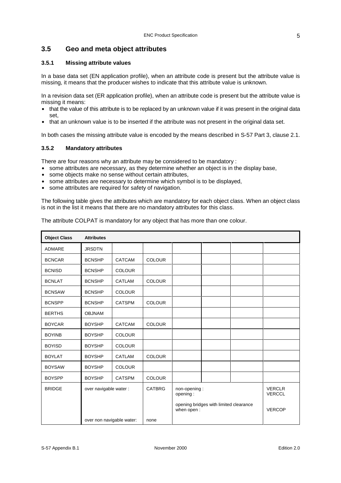## **3.5 Geo and meta object attributes**

#### **3.5.1 Missing attribute values**

In a base data set (EN application profile), when an attribute code is present but the attribute value is missing, it means that the producer wishes to indicate that this attribute value is unknown.

In a revision data set (ER application profile), when an attribute code is present but the attribute value is missing it means:

- that the value of this attribute is to be replaced by an unknown value if it was present in the original data set,
- that an unknown value is to be inserted if the attribute was not present in the original data set.

In both cases the missing attribute value is encoded by the means described in S-57 Part 3, clause 2.1.

#### **3.5.2 Mandatory attributes**

There are four reasons why an attribute may be considered to be mandatory :

- $\bullet$  some attributes are necessary, as they determine whether an object is in the display base,
- some objects make no sense without certain attributes,
- some attributes are necessary to determine which symbol is to be displayed,
- some attributes are required for safety of navigation.

The following table gives the attributes which are mandatory for each object class. When an object class is not in the list it means that there are no mandatory attributes for this class.

| The attribute COLPAT is mandatory for any object that has more than one colour. |  |  |  |  |
|---------------------------------------------------------------------------------|--|--|--|--|
|                                                                                 |  |  |  |  |

| <b>Object Class</b> | <b>Attributes</b>         |               |               |                          |                                        |                                |
|---------------------|---------------------------|---------------|---------------|--------------------------|----------------------------------------|--------------------------------|
| <b>ADMARE</b>       | <b>JRSDTN</b>             |               |               |                          |                                        |                                |
| <b>BCNCAR</b>       | <b>BCNSHP</b>             | <b>CATCAM</b> | <b>COLOUR</b> |                          |                                        |                                |
| <b>BCNISD</b>       | <b>BCNSHP</b>             | <b>COLOUR</b> |               |                          |                                        |                                |
| <b>BCNLAT</b>       | <b>BCNSHP</b>             | CATLAM        | <b>COLOUR</b> |                          |                                        |                                |
| <b>BCNSAW</b>       | <b>BCNSHP</b>             | <b>COLOUR</b> |               |                          |                                        |                                |
| <b>BCNSPP</b>       | <b>BCNSHP</b>             | <b>CATSPM</b> | <b>COLOUR</b> |                          |                                        |                                |
| <b>BERTHS</b>       | <b>OBJNAM</b>             |               |               |                          |                                        |                                |
| <b>BOYCAR</b>       | <b>BOYSHP</b>             | CATCAM        | <b>COLOUR</b> |                          |                                        |                                |
| <b>BOYINB</b>       | <b>BOYSHP</b>             | <b>COLOUR</b> |               |                          |                                        |                                |
| <b>BOYISD</b>       | <b>BOYSHP</b>             | <b>COLOUR</b> |               |                          |                                        |                                |
| <b>BOYLAT</b>       | <b>BOYSHP</b>             | <b>CATLAM</b> | <b>COLOUR</b> |                          |                                        |                                |
| <b>BOYSAW</b>       | <b>BOYSHP</b>             | <b>COLOUR</b> |               |                          |                                        |                                |
| <b>BOYSPP</b>       | <b>BOYSHP</b>             | <b>CATSPM</b> | <b>COLOUR</b> |                          |                                        |                                |
| <b>BRIDGE</b>       | over navigable water:     |               | <b>CATBRG</b> | non-opening:<br>opening: |                                        | <b>VERCLR</b><br><b>VERCCL</b> |
|                     |                           |               |               | when open:               | opening bridges with limited clearance | <b>VERCOP</b>                  |
|                     | over non navigable water: |               | none          |                          |                                        |                                |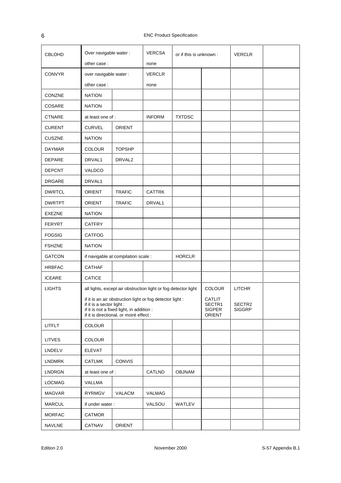| <b>CBLOHD</b> | Over navigable water:     |                                                                                                                                                   | <b>VERCSA</b> | or if this is unknown : |                                             | <b>VERCLR</b>           |  |
|---------------|---------------------------|---------------------------------------------------------------------------------------------------------------------------------------------------|---------------|-------------------------|---------------------------------------------|-------------------------|--|
|               | other case:               |                                                                                                                                                   | none          |                         |                                             |                         |  |
| <b>CONVYR</b> | over navigable water :    |                                                                                                                                                   | <b>VERCLR</b> |                         |                                             |                         |  |
|               | other case:               |                                                                                                                                                   | none          |                         |                                             |                         |  |
| <b>CONZNE</b> | <b>NATION</b>             |                                                                                                                                                   |               |                         |                                             |                         |  |
| COSARE        | <b>NATION</b>             |                                                                                                                                                   |               |                         |                                             |                         |  |
| <b>CTNARE</b> | at least one of:          |                                                                                                                                                   | <b>INFORM</b> | <b>TXTDSC</b>           |                                             |                         |  |
| <b>CURENT</b> | <b>CURVEL</b>             | ORIENT                                                                                                                                            |               |                         |                                             |                         |  |
| <b>CUSZNE</b> | <b>NATION</b>             |                                                                                                                                                   |               |                         |                                             |                         |  |
| <b>DAYMAR</b> | <b>COLOUR</b>             | <b>TOPSHP</b>                                                                                                                                     |               |                         |                                             |                         |  |
| <b>DEPARE</b> | DRVAL1                    | DRVAL <sub>2</sub>                                                                                                                                |               |                         |                                             |                         |  |
| <b>DEPCNT</b> | VALDCO                    |                                                                                                                                                   |               |                         |                                             |                         |  |
| <b>DRGARE</b> | DRVAL1                    |                                                                                                                                                   |               |                         |                                             |                         |  |
| <b>DWRTCL</b> | ORIENT                    | <b>TRAFIC</b>                                                                                                                                     | <b>CATTRK</b> |                         |                                             |                         |  |
| <b>DWRTPT</b> | <b>ORIENT</b>             | <b>TRAFIC</b>                                                                                                                                     | DRVAL1        |                         |                                             |                         |  |
| <b>EXEZNE</b> | <b>NATION</b>             |                                                                                                                                                   |               |                         |                                             |                         |  |
| <b>FERYRT</b> | <b>CATFRY</b>             |                                                                                                                                                   |               |                         |                                             |                         |  |
| <b>FOGSIG</b> | <b>CATFOG</b>             |                                                                                                                                                   |               |                         |                                             |                         |  |
| <b>FSHZNE</b> | <b>NATION</b>             |                                                                                                                                                   |               |                         |                                             |                         |  |
| <b>GATCON</b> |                           | if navigable at compilation scale :                                                                                                               |               | <b>HORCLR</b>           |                                             |                         |  |
| <b>HRBFAC</b> | <b>CATHAF</b>             |                                                                                                                                                   |               |                         |                                             |                         |  |
| <b>ICEARE</b> | <b>CATICE</b>             |                                                                                                                                                   |               |                         |                                             |                         |  |
| <b>LIGHTS</b> |                           | all lights, except air obstruction light or fog detector light                                                                                    |               |                         | <b>COLOUR</b>                               | <b>LITCHR</b>           |  |
|               | if it is a sector light : | if it is an air obstruction light or fog detector light :<br>if it is not a fixed light, in addition :<br>if it is directional, or moiré effect : |               |                         | <b>CATLIT</b><br>SECTR1<br>SIGPER<br>ORIENT | SECTR2<br><b>SIGGRP</b> |  |
| LITFLT        | COLOUR                    |                                                                                                                                                   |               |                         |                                             |                         |  |
| <b>LITVES</b> | <b>COLOUR</b>             |                                                                                                                                                   |               |                         |                                             |                         |  |
| LNDELV        | <b>ELEVAT</b>             |                                                                                                                                                   |               |                         |                                             |                         |  |
| <b>LNDMRK</b> | <b>CATLMK</b>             | <b>CONVIS</b>                                                                                                                                     |               |                         |                                             |                         |  |
| <b>LNDRGN</b> | at least one of :         |                                                                                                                                                   | CATLND        | OBJNAM                  |                                             |                         |  |
| <b>LOCMAG</b> | VALLMA                    |                                                                                                                                                   |               |                         |                                             |                         |  |
| <b>MAGVAR</b> | <b>RYRMGV</b>             | <b>VALACM</b>                                                                                                                                     | VALMAG        |                         |                                             |                         |  |
| <b>MARCUL</b> | if under water:           |                                                                                                                                                   | VALSOU        | WATLEV                  |                                             |                         |  |
| <b>MORFAC</b> | CATMOR                    |                                                                                                                                                   |               |                         |                                             |                         |  |
| <b>NAVLNE</b> | CATNAV                    | ORIENT                                                                                                                                            |               |                         |                                             |                         |  |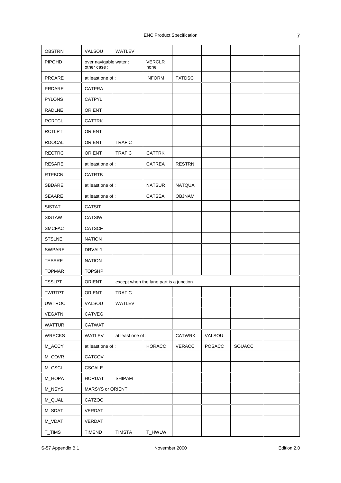| <b>OBSTRN</b> | VALSOU                                | WATLEV            |                                         |               |               |        |  |
|---------------|---------------------------------------|-------------------|-----------------------------------------|---------------|---------------|--------|--|
| PIPOHD        | over navigable water :<br>other case: |                   | <b>VERCLR</b><br>none                   |               |               |        |  |
| <b>PRCARE</b> | at least one of :                     |                   | <b>INFORM</b>                           | <b>TXTDSC</b> |               |        |  |
| PRDARE        | <b>CATPRA</b>                         |                   |                                         |               |               |        |  |
| <b>PYLONS</b> | CATPYL                                |                   |                                         |               |               |        |  |
| RADLNE        | <b>ORIENT</b>                         |                   |                                         |               |               |        |  |
| <b>RCRTCL</b> | <b>CATTRK</b>                         |                   |                                         |               |               |        |  |
| <b>RCTLPT</b> | <b>ORIENT</b>                         |                   |                                         |               |               |        |  |
| <b>RDOCAL</b> | <b>ORIENT</b>                         | <b>TRAFIC</b>     |                                         |               |               |        |  |
| <b>RECTRC</b> | <b>ORIENT</b>                         | <b>TRAFIC</b>     | <b>CATTRK</b>                           |               |               |        |  |
| <b>RESARE</b> | at least one of :                     |                   | <b>CATREA</b>                           | <b>RESTRN</b> |               |        |  |
| <b>RTPBCN</b> | <b>CATRTB</b>                         |                   |                                         |               |               |        |  |
| SBDARE        | at least one of :                     |                   | <b>NATSUR</b>                           | <b>NATQUA</b> |               |        |  |
| SEAARE        | at least one of :                     |                   | <b>CATSEA</b>                           | <b>OBJNAM</b> |               |        |  |
| <b>SISTAT</b> | <b>CATSIT</b>                         |                   |                                         |               |               |        |  |
| <b>SISTAW</b> | <b>CATSIW</b>                         |                   |                                         |               |               |        |  |
| <b>SMCFAC</b> | <b>CATSCF</b>                         |                   |                                         |               |               |        |  |
| <b>STSLNE</b> | <b>NATION</b>                         |                   |                                         |               |               |        |  |
| <b>SWPARE</b> | DRVAL1                                |                   |                                         |               |               |        |  |
| <b>TESARE</b> | <b>NATION</b>                         |                   |                                         |               |               |        |  |
| <b>TOPMAR</b> | <b>TOPSHP</b>                         |                   |                                         |               |               |        |  |
| <b>TSSLPT</b> | <b>ORIENT</b>                         |                   | except when the lane part is a junction |               |               |        |  |
| <b>TWRTPT</b> | ORIENT                                | <b>TRAFIC</b>     |                                         |               |               |        |  |
| <b>UWTROC</b> | VALSOU                                | WATLEV            |                                         |               |               |        |  |
| <b>VEGATN</b> | CATVEG                                |                   |                                         |               |               |        |  |
| WATTUR        | CATWAT                                |                   |                                         |               |               |        |  |
| <b>WRECKS</b> | WATLEV                                | at least one of : |                                         | CATWRK        | VALSOU        |        |  |
| M_ACCY        | at least one of :                     |                   | <b>HORACC</b>                           | VERACC        | <b>POSACC</b> | SOUACC |  |
| M_COVR        | CATCOV                                |                   |                                         |               |               |        |  |
| M_CSCL        | CSCALE                                |                   |                                         |               |               |        |  |
| M_HOPA        | HORDAT                                | SHIPAM            |                                         |               |               |        |  |
| M_NSYS        | MARSYS or ORIENT                      |                   |                                         |               |               |        |  |
| M_QUAL        | CATZOC                                |                   |                                         |               |               |        |  |
| M_SDAT        | VERDAT                                |                   |                                         |               |               |        |  |
| M_VDAT        | VERDAT                                |                   |                                         |               |               |        |  |
| T_TIMS        | <b>TIMEND</b>                         | <b>TIMSTA</b>     | T_HWLW                                  |               |               |        |  |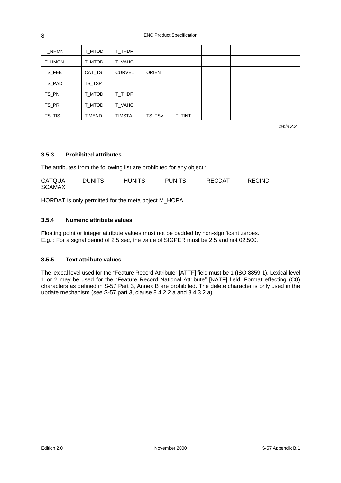ENC Product Specification

| T_NHMN        | T_MTOD | T_THDF        |               |        |  |  |
|---------------|--------|---------------|---------------|--------|--|--|
| <b>T_HMON</b> | T_MTOD | T_VAHC        |               |        |  |  |
| TS_FEB        | CAT_TS | <b>CURVEL</b> | <b>ORIENT</b> |        |  |  |
| TS_PAD        | TS_TSP |               |               |        |  |  |
| TS_PNH        | T_MTOD | T_THDF        |               |        |  |  |
| TS_PRH        | T MTOD | T_VAHC        |               |        |  |  |
| TS_TIS        | TIMEND | <b>TIMSTA</b> | TS_TSV        | T_TINT |  |  |

table 3.2

## **3.5.3 Prohibited attributes**

The attributes from the following list are prohibited for any object :

| <b>CATQUA</b> | <b>DUNITS</b> | <b>HUNITS</b> | <b>PUNITS</b> | RECDAT | <b>RECIND</b> |
|---------------|---------------|---------------|---------------|--------|---------------|
| <b>SCAMAX</b> |               |               |               |        |               |

HORDAT is only permitted for the meta object M\_HOPA

#### **3.5.4 Numeric attribute values**

Floating point or integer attribute values must not be padded by non-significant zeroes. E.g. : For a signal period of 2.5 sec, the value of SIGPER must be 2.5 and not 02.500.

#### **3.5.5 Text attribute values**

The lexical level used for the "Feature Record Attribute" [ATTF] field must be 1 (ISO 8859-1). Lexical level 1 or 2 may be used for the "Feature Record National Attribute" [NATF] field. Format effecting (C0) characters as defined in S-57 Part 3, Annex B are prohibited. The delete character is only used in the update mechanism (see S-57 part 3, clause 8.4.2.2.a and 8.4.3.2.a).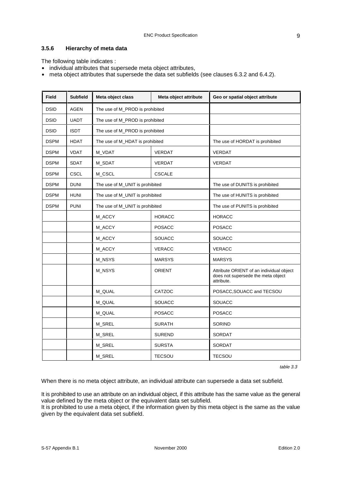### **3.5.6 Hierarchy of meta data**

The following table indicates :

- individual attributes that supersede meta object attributes,
- meta object attributes that supersede the data set subfields (see clauses 6.3.2 and 6.4.2).

| <b>Field</b> | <b>Subfield</b> | Meta object class               | Meta object attribute | Geo or spatial object attribute                                                              |
|--------------|-----------------|---------------------------------|-----------------------|----------------------------------------------------------------------------------------------|
| <b>DSID</b>  | <b>AGEN</b>     | The use of M_PROD is prohibited |                       |                                                                                              |
| <b>DSID</b>  | <b>UADT</b>     | The use of M_PROD is prohibited |                       |                                                                                              |
| <b>DSID</b>  | <b>ISDT</b>     | The use of M_PROD is prohibited |                       |                                                                                              |
| <b>DSPM</b>  | <b>HDAT</b>     | The use of M_HDAT is prohibited |                       | The use of HORDAT is prohibited                                                              |
| <b>DSPM</b>  | <b>VDAT</b>     | M_VDAT                          | <b>VERDAT</b>         | <b>VERDAT</b>                                                                                |
| <b>DSPM</b>  | <b>SDAT</b>     | M_SDAT                          | <b>VERDAT</b>         | <b>VERDAT</b>                                                                                |
| <b>DSPM</b>  | <b>CSCL</b>     | M_CSCL                          | <b>CSCALE</b>         |                                                                                              |
| <b>DSPM</b>  | <b>DUNI</b>     | The use of M_UNIT is prohibited |                       | The use of DUNITS is prohibited                                                              |
| <b>DSPM</b>  | <b>HUNI</b>     | The use of M_UNIT is prohibited |                       | The use of HUNITS is prohibited                                                              |
| <b>DSPM</b>  | <b>PUNI</b>     | The use of M_UNIT is prohibited |                       | The use of PUNITS is prohibited                                                              |
|              |                 | M_ACCY                          | <b>HORACC</b>         | <b>HORACC</b>                                                                                |
|              |                 | M_ACCY                          | <b>POSACC</b>         | <b>POSACC</b>                                                                                |
|              |                 | M_ACCY                          | <b>SOUACC</b>         | SOUACC                                                                                       |
|              |                 | M_ACCY                          | <b>VERACC</b>         | <b>VERACC</b>                                                                                |
|              |                 | M_NSYS                          | <b>MARSYS</b>         | <b>MARSYS</b>                                                                                |
|              |                 | M_NSYS                          | <b>ORIENT</b>         | Attribute ORIENT of an individual object<br>does not supersede the meta object<br>attribute. |
|              |                 | M_QUAL                          | CATZOC                | POSACC, SOUACC and TECSOU                                                                    |
|              |                 | M_QUAL                          | <b>SOUACC</b>         | SOUACC                                                                                       |
|              |                 | M_QUAL                          | <b>POSACC</b>         | <b>POSACC</b>                                                                                |
|              |                 | M_SREL                          | <b>SURATH</b>         | <b>SORIND</b>                                                                                |
|              |                 | M_SREL                          | <b>SUREND</b>         | <b>SORDAT</b>                                                                                |
|              |                 | M_SREL                          | <b>SURSTA</b>         | <b>SORDAT</b>                                                                                |
|              |                 | M_SREL                          | <b>TECSOU</b>         | <b>TECSOU</b>                                                                                |

table 3.3

When there is no meta object attribute, an individual attribute can supersede a data set subfield.

It is prohibited to use an attribute on an individual object, if this attribute has the same value as the general value defined by the meta object or the equivalent data set subfield.

It is prohibited to use a meta object, if the information given by this meta object is the same as the value given by the equivalent data set subfield.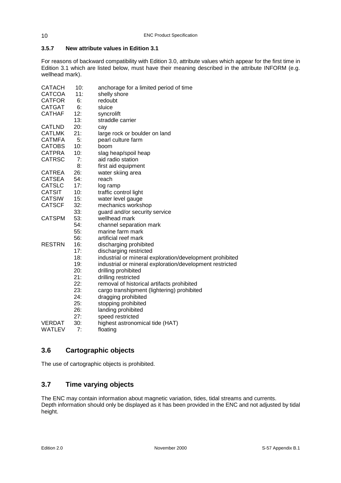## **3.5.7 New attribute values in Edition 3.1**

For reasons of backward compatibility with Edition 3.0, attribute values which appear for the first time in Edition 3.1 which are listed below, must have their meaning described in the attribute INFORM (e.g. wellhead mark).

| <b>CATACH</b> | 10: | anchorage for a limited period of time                   |
|---------------|-----|----------------------------------------------------------|
| <b>CATCOA</b> | 11: | shelly shore                                             |
| <b>CATFOR</b> | 6:  | redoubt                                                  |
| <b>CATGAT</b> | 6:  | sluice                                                   |
| <b>CATHAF</b> | 12: | syncrolift                                               |
|               | 13: | straddle carrier                                         |
| <b>CATLND</b> | 20: | cay                                                      |
| <b>CATLMK</b> | 21: | large rock or boulder on land                            |
| <b>CATMFA</b> | 5:  | pearl culture farm                                       |
| <b>CATOBS</b> | 10: | boom                                                     |
| <b>CATPRA</b> | 10: | slag heap/spoil heap                                     |
| <b>CATRSC</b> | 7:  | aid radio station                                        |
|               | 8:  | first aid equipment                                      |
| <b>CATREA</b> | 26: | water skiing area                                        |
| <b>CATSEA</b> | 54: | reach                                                    |
| <b>CATSLC</b> | 17: | log ramp                                                 |
| <b>CATSIT</b> | 10: | traffic control light                                    |
| <b>CATSIW</b> | 15: | water level gauge                                        |
| <b>CATSCF</b> | 32: | mechanics workshop                                       |
|               | 33: | guard and/or security service                            |
| <b>CATSPM</b> | 53: | wellhead mark                                            |
|               | 54: | channel separation mark                                  |
|               | 55: | marine farm mark                                         |
|               | 56: | artificial reef mark                                     |
| <b>RESTRN</b> | 16: | discharging prohibited                                   |
|               | 17: | discharging restricted                                   |
|               | 18: | industrial or mineral exploration/development prohibited |
|               | 19: | industrial or mineral exploration/development restricted |
|               | 20: | drilling prohibited                                      |
|               | 21: | drilling restricted                                      |
|               | 22: | removal of historical artifacts prohibited               |
|               | 23: | cargo transhipment (lightering) prohibited               |
|               | 24: | dragging prohibited                                      |
|               | 25: | stopping prohibited                                      |
|               | 26: | landing prohibited                                       |
|               | 27: | speed restricted                                         |
| <b>VERDAT</b> | 30: | highest astronomical tide (HAT)                          |
| <b>WATLEV</b> | 7:  | floating                                                 |

## **3.6 Cartographic objects**

The use of cartographic objects is prohibited.

## **3.7 Time varying objects**

The ENC may contain information about magnetic variation, tides, tidal streams and currents. Depth information should only be displayed as it has been provided in the ENC and not adjusted by tidal height.

10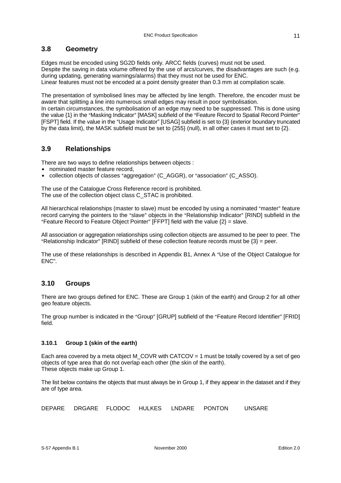## **3.8 Geometry**

Edges must be encoded using SG2D fields only. ARCC fields (curves) must not be used. Despite the saving in data volume offered by the use of arcs/curves, the disadvantages are such (e.g. during updating, generating warnings/alarms) that they must not be used for ENC. Linear features must not be encoded at a point density greater than 0.3 mm at compilation scale.

The presentation of symbolised lines may be affected by line length. Therefore, the encoder must be aware that splitting a line into numerous small edges may result in poor symbolisation.

In certain circumstances, the symbolisation of an edge may need to be suppressed. This is done using the value {1} in the "Masking Indicator" [MASK] subfield of the "Feature Record to Spatial Record Pointer" [FSPT] field. If the value in the "Usage Indicator" [USAG] subfield is set to {3} (exterior boundary truncated by the data limit), the MASK subfield must be set to {255} (null), in all other cases it must set to {2}.

## **3.9 Relationships**

There are two ways to define relationships between objects :

- nominated master feature record.
- collection objects of classes "aggregation" (C\_AGGR), or "association" (C\_ASSO).

The use of the Catalogue Cross Reference record is prohibited. The use of the collection object class C\_STAC is prohibited.

All hierarchical relationships (master to slave) must be encoded by using a nominated "master" feature record carrying the pointers to the "slave" objects in the "Relationship Indicator" [RIND] subfield in the "Feature Record to Feature Object Pointer" [FFPT] field with the value  $\{2\}$  = slave.

All association or aggregation relationships using collection objects are assumed to be peer to peer. The "Relationship Indicator" [RIND] subfield of these collection feature records must be  $\{3\}$  = peer.

The use of these relationships is described in Appendix B1, Annex A "Use of the Object Catalogue for ENC".

## **3.10 Groups**

There are two groups defined for ENC. These are Group 1 (skin of the earth) and Group 2 for all other geo feature objects.

The group number is indicated in the "Group" [GRUP] subfield of the "Feature Record Identifier" [FRID] field.

#### **3.10.1 Group 1 (skin of the earth)**

Each area covered by a meta object M\_COVR with CATCOV = 1 must be totally covered by a set of geo objects of type area that do not overlap each other (the skin of the earth). These objects make up Group 1.

The list below contains the objects that must always be in Group 1, if they appear in the dataset and if they are of type area.

DEPARE DRGARE FLODOC HULKES LNDARE PONTON UNSARE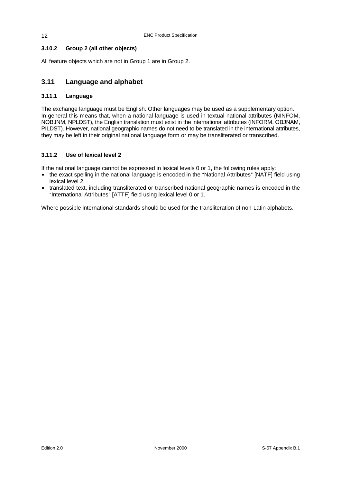## **3.10.2 Group 2 (all other objects)**

All feature objects which are not in Group 1 are in Group 2.

## **3.11 Language and alphabet**

#### **3.11.1 Language**

The exchange language must be English. Other languages may be used as a supplementary option. In general this means that, when a national language is used in textual national attributes (NINFOM, NOBJNM, NPLDST), the English translation must exist in the international attributes (INFORM, OBJNAM, PILDST). However, national geographic names do not need to be translated in the international attributes, they may be left in their original national language form or may be transliterated or transcribed.

#### **3.11.2 Use of lexical level 2**

If the national language cannot be expressed in lexical levels 0 or 1, the following rules apply:

- the exact spelling in the national language is encoded in the "National Attributes" [NATF] field using lexical level 2.
- translated text, including transliterated or transcribed national geographic names is encoded in the "International Attributes" [ATTF] field using lexical level 0 or 1.

Where possible international standards should be used for the transliteration of non-Latin alphabets.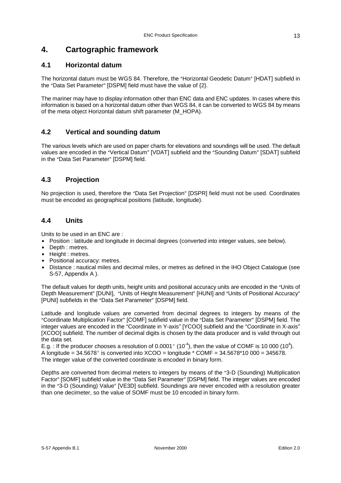# **4. Cartographic framework**

## **4.1 Horizontal datum**

The horizontal datum must be WGS 84. Therefore, the "Horizontal Geodetic Datum" [HDAT] subfield in the "Data Set Parameter" [DSPM] field must have the value of  ${2}$ .

The mariner may have to display information other than ENC data and ENC updates. In cases where this information is based on a horizontal datum other than WGS 84, it can be converted to WGS 84 by means of the meta object Horizontal datum shift parameter (M\_HOPA).

## **4.2 Vertical and sounding datum**

The various levels which are used on paper charts for elevations and soundings will be used. The default values are encoded in the "Vertical Datum" [VDAT] subfield and the "Sounding Datum" [SDAT] subfield in the "Data Set Parameter" [DSPM] field.

## **4.3 Projection**

No projection is used, therefore the "Data Set Projection" [DSPR] field must not be used. Coordinates must be encoded as geographical positions (latitude, longitude).

## **4.4 Units**

Units to be used in an ENC are :

- Position : latitude and longitude in decimal degrees (converted into integer values, see below).
- Depth : metres.
- Height : metres.
- Positional accuracy: metres.
- Distance : nautical miles and decimal miles, or metres as defined in the IHO Object Catalogue (see S-57, Appendix A ).

The default values for depth units, height units and positional accuracy units are encoded in the "Units of Depth Measurement" [DUNI], "Units of Height Measurement" [HUNI] and "Units of Positional Accuracy" [PUNI] subfields in the "Data Set Parameter" [DSPM] field.

Latitude and longitude values are converted from decimal degrees to integers by means of the "Coordinate Multiplication Factor" [COMF] subfield value in the "Data Set Parameter" [DSPM] field. The integer values are encoded in the "Coordinate in Y-axis" [YCOO] subfield and the "Coordinate in X-axis" [XCOO] subfield. The number of decimal digits is chosen by the data producer and is valid through out the data set.

E.g. : If the producer chooses a resolution of 0.0001° (10<sup>4</sup>), then the value of COMF is 10 000 (10<sup>4</sup>). A longitude =  $34.5678^{\circ}$  is converted into XCOO = longitude \* COMF =  $34.5678^{\circ}10\,000 = 345678$ . The integer value of the converted coordinate is encoded in binary form.

Depths are converted from decimal meters to integers by means of the "3-D (Sounding) Multiplication Factor" [SOMF] subfield value in the "Data Set Parameter" [DSPM] field. The integer values are encoded in the "3-D (Sounding) Value" [VE3D] subfield. Soundings are never encoded with a resolution greater than one decimeter, so the value of SOMF must be 10 encoded in binary form.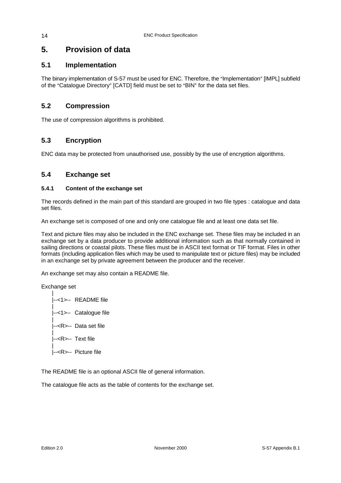# **5. Provision of data**

## **5.1 Implementation**

The binary implementation of S-57 must be used for ENC. Therefore, the "Implementation" [IMPL] subfield of the "Catalogue Directory" [CATD] field must be set to "BIN" for the data set files.

## **5.2 Compression**

The use of compression algorithms is prohibited.

## **5.3 Encryption**

ENC data may be protected from unauthorised use, possibly by the use of encryption algorithms.

## **5.4 Exchange set**

#### **5.4.1 Content of the exchange set**

The records defined in the main part of this standard are grouped in two file types : catalogue and data set files.

An exchange set is composed of one and only one catalogue file and at least one data set file.

Text and picture files may also be included in the ENC exchange set. These files may be included in an exchange set by a data producer to provide additional information such as that normally contained in sailing directions or coastal pilots. These files must be in ASCII text format or TIF format. Files in other formats (including application files which may be used to manipulate text or picture files) may be included in an exchange set by private agreement between the producer and the receiver.

An exchange set may also contain a README file.

Exchange set

| |--<1>-- README file | |--<1>-- Catalogue file | |--<R>-- Data set file | |--<R>-- Text file | |--<R>-- Picture file

The README file is an optional ASCII file of general information.

The catalogue file acts as the table of contents for the exchange set.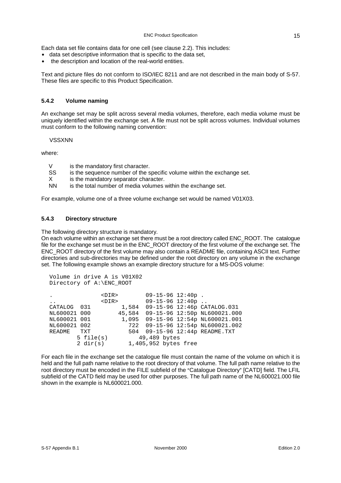Each data set file contains data for one cell (see clause 2.2). This includes:

- data set descriptive information that is specific to the data set,
- $\bullet$  the description and location of the real-world entities.

Text and picture files do not conform to ISO/IEC 8211 and are not described in the main body of S-57. These files are specific to this Product Specification.

#### **5.4.2 Volume naming**

An exchange set may be split across several media volumes, therefore, each media volume must be uniquely identified within the exchange set. A file must not be split across volumes. Individual volumes must conform to the following naming convention:

#### VSSXNN

where:

- V is the mandatory first character.
- SS is the sequence number of the specific volume within the exchange set.
- X is the mandatory separator character.<br>NN is the total number of media volumes
- is the total number of media volumes within the exchange set.

For example, volume one of a three volume exchange set would be named V01X03.

#### **5.4.3 Directory structure**

The following directory structure is mandatory.

On each volume within an exchange set there must be a root directory called ENC\_ROOT. The catalogue file for the exchange set must be in the ENC\_ROOT directory of the first volume of the exchange set. The ENC\_ROOT directory of the first volume may also contain a README file, containing ASCII text. Further directories and sub-directories may be defined under the root directory on any volume in the exchange set. The following example shows an example directory structure for a MS-DOS volume:

```
Volume in drive A is V01X02 
Directory of A:\ENC ROOT
```

| ٠                    |                 | <dir></dir> |                      | $09-15-96$ 12:40p. |                                    |
|----------------------|-----------------|-------------|----------------------|--------------------|------------------------------------|
| $\ddot{\phantom{0}}$ |                 | $<$ DIR $>$ |                      | $09-15-96$ 12:40p  |                                    |
| CATALOG 031          |                 | 1,584       |                      |                    | 09-15-96 12:46p CATALOG.031        |
| NL600021 000         |                 | 45,584      |                      |                    | 09-15-96 12:50p NL600021.000       |
| NL600021 001         |                 |             |                      |                    | 1,095 09-15-96 12:54p NL600021.001 |
| NL600021 002         |                 |             |                      |                    | 722 09-15-96 12:54p NL600021.002   |
| README               | TXT             |             |                      |                    | 504 09-15-96 12:44p README.TXT     |
|                      | $5$ file( $s$ ) |             | 49,489 bytes         |                    |                                    |
|                      | 2 dir(s)        |             | 1,405,952 bytes free |                    |                                    |
|                      |                 |             |                      |                    |                                    |

For each file in the exchange set the catalogue file must contain the name of the volume on which it is held and the full path name relative to the root directory of that volume. The full path name relative to the root directory must be encoded in the FILE subfield of the "Catalogue Directory" [CATD] field. The LFIL subfield of the CATD field may be used for other purposes. The full path name of the NL600021.000 file shown in the example is NL600021.000.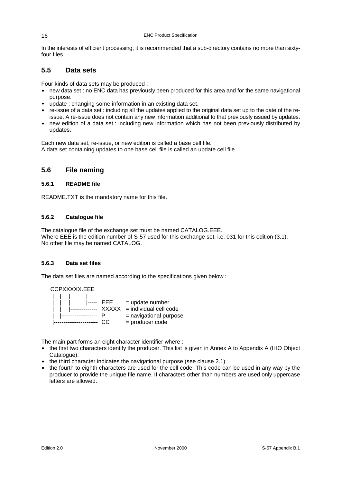In the interests of efficient processing, it is recommended that a sub-directory contains no more than sixtyfour files.

## **5.5 Data sets**

Four kinds of data sets may be produced :

- new data set : no ENC data has previously been produced for this area and for the same navigational purpose.
- update : changing some information in an existing data set.
- re-issue of a data set : including all the updates applied to the original data set up to the date of the reissue. A re-issue does not contain any new information additional to that previously issued by updates.
- new edition of a data set : including new information which has not been previously distributed by updates.

Each new data set, re-issue, or new edition is called a base cell file.

A data set containing updates to one base cell file is called an update cell file.

## **5.6 File naming**

#### **5.6.1 README file**

README.TXT is the mandatory name for this file.

## **5.6.2 Catalogue file**

The catalogue file of the exchange set must be named CATALOG.EEE. Where EEE is the edition number of S-57 used for this exchange set, i.e. 031 for this edition (3.1). No other file may be named CATALOG.

#### **5.6.3 Data set files**

The data set files are named according to the specifications given below :



The main part forms an eight character identifier where :

- the first two characters identify the producer. This list is given in Annex A to Appendix A (IHO Object Catalogue).
- $\bullet$  the third character indicates the navigational purpose (see clause 2.1).
- the fourth to eighth characters are used for the cell code. This code can be used in any way by the producer to provide the unique file name. If characters other than numbers are used only uppercase letters are allowed.

#### 16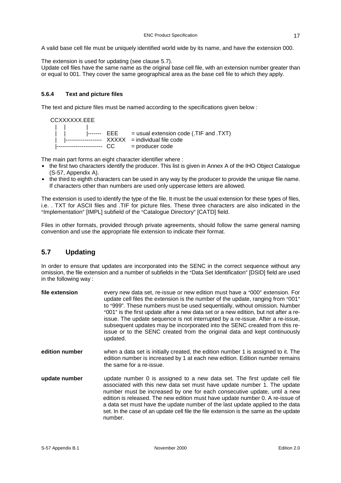A valid base cell file must be uniquely identified world wide by its name, and have the extension 000.

The extension is used for updating (see clause 5.7).

Update cell files have the same name as the original base cell file, with an extension number greater than or equal to 001. They cover the same geographical area as the base cell file to which they apply.

## **5.6.4 Text and picture files**

The text and picture files must be named according to the specifications given below :

CCXXXXXX.EEE

|| |  $\vert \ \vert$   $\vert$   $\vert$   $\vert$ ------- EEE = usual extension code (.TIF and .TXT) | |------------------- XXXXX = individual file code |------------------------ CC = producer code

The main part forms an eight character identifier where :

- the first two characters identify the producer. This list is given in Annex A of the IHO Object Catalogue (S-57, Appendix A).
- the third to eighth characters can be used in any way by the producer to provide the unique file name. If characters other than numbers are used only uppercase letters are allowed.

The extension is used to identify the type of the file. It must be the usual extension for these types of files, i.e. . TXT for ASCII files and .TIF for picture files. These three characters are also indicated in the "Implementation" [IMPL] subfield of the "Catalogue Directory" [CATD] field.

Files in other formats, provided through private agreements, should follow the same general naming convention and use the appropriate file extension to indicate their format.

## **5.7 Updating**

In order to ensure that updates are incorporated into the SENC in the correct sequence without any omission, the file extension and a number of subfields in the "Data Set Identification" [DSID] field are used in the following way :

| file extension | every new data set, re-issue or new edition must have a "000" extension. For<br>update cell files the extension is the number of the update, ranging from "001"<br>to "999". These numbers must be used sequentially, without omission. Number<br>"001" is the first update after a new data set or a new edition, but not after a re-<br>issue. The update sequence is not interrupted by a re-issue. After a re-issue,<br>subsequent updates may be incorporated into the SENC created from this re-<br>issue or to the SENC created from the original data and kept continuously<br>updated. |
|----------------|-------------------------------------------------------------------------------------------------------------------------------------------------------------------------------------------------------------------------------------------------------------------------------------------------------------------------------------------------------------------------------------------------------------------------------------------------------------------------------------------------------------------------------------------------------------------------------------------------|
| edition number | when a data set is initially created, the edition number 1 is assigned to it. The<br>edition number is increased by 1 at each new edition. Edition number remains<br>the same for a re-issue.                                                                                                                                                                                                                                                                                                                                                                                                   |
| update number  | update number 0 is assigned to a new data set. The first update cell file<br>associated with this new data set must have update number 1. The update<br>number must be increased by one for each consecutive update, until a new<br>edition is released. The new edition must have update number 0. A re-issue of<br>a data set must have the update number of the last update applied to the data<br>set. In the case of an update cell file the file extension is the same as the update<br>number.                                                                                           |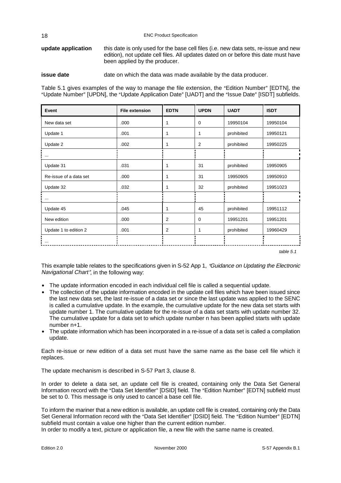**update application** this date is only used for the base cell files (i.e. new data sets, re-issue and new edition), not update cell files. All updates dated on or before this date must have been applied by the producer.

**issue date** date on which the data was made available by the data producer.

Table 5.1 gives examples of the way to manage the file extension, the "Edition Number" [EDTN], the "Update Number" [UPDN], the "Update Application Date" [UADT] and the "Issue Date" [ISDT] subfields.

| Event                  | <b>File extension</b> | <b>EDTN</b>    | <b>UPDN</b> | <b>UADT</b> | <b>ISDT</b> |
|------------------------|-----------------------|----------------|-------------|-------------|-------------|
| New data set           | .000                  | 1              | $\Omega$    | 19950104    | 19950104    |
| Update 1               | .001                  | 1              | 1           | prohibited  | 19950121    |
| Update 2               | .002                  | 1              | 2           | prohibited  | 19950225    |
| $\cdots$               |                       |                |             |             |             |
| Update 31              | .031                  | 1              | 31          | prohibited  | 19950905    |
| Re-issue of a data set | .000                  | 1              | 31          | 19950905    | 19950910    |
| Update 32              | .032                  | 1              | 32          | prohibited  | 19951023    |
| $\cdots$               |                       |                |             |             |             |
| Update 45              | .045                  | 1              | 45          | prohibited  | 19951112    |
| New edition            | .000                  | $\overline{2}$ | $\Omega$    | 19951201    | 19951201    |
| Update 1 to edition 2  | .001                  | 2              | 1           | prohibited  | 19960429    |
| $\cdots$               |                       |                |             |             |             |

table 5.1

This example table relates to the specifications given in S-52 App 1, "Guidance on Updating the Electronic Navigational Chart", in the following way:

- The update information encoded in each individual cell file is called a sequential update.
- The collection of the update information encoded in the update cell files which have been issued since the last new data set, the last re-issue of a data set or since the last update was applied to the SENC is called a cumulative update. In the example, the cumulative update for the new data set starts with update number 1. The cumulative update for the re-issue of a data set starts with update number 32. The cumulative update for a data set to which update number n has been applied starts with update number n+1.
- The update information which has been incorporated in a re-issue of a data set is called a compilation update.

Each re-issue or new edition of a data set must have the same name as the base cell file which it replaces.

The update mechanism is described in S-57 Part 3, clause 8.

In order to delete a data set, an update cell file is created, containing only the Data Set General Information record with the "Data Set Identifier" [DSID] field. The "Edition Number" [EDTN] subfield must be set to 0. This message is only used to cancel a base cell file.

To inform the mariner that a new edition is available, an update cell file is created, containing only the Data Set General Information record with the "Data Set Identifier" [DSID] field. The "Edition Number" [EDTN] subfield must contain a value one higher than the current edition number.

In order to modify a text, picture or application file, a new file with the same name is created.

18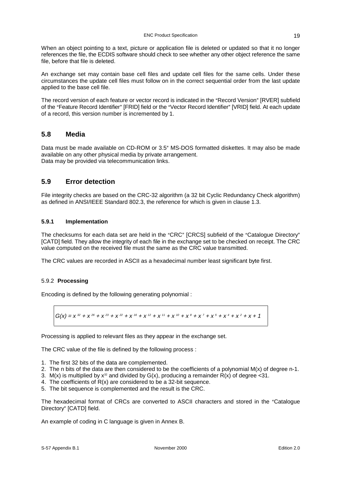When an object pointing to a text, picture or application file is deleted or updated so that it no longer references the file, the ECDIS software should check to see whether any other object reference the same file, before that file is deleted.

An exchange set may contain base cell files and update cell files for the same cells. Under these circumstances the update cell files must follow on in the correct sequential order from the last update applied to the base cell file.

The record version of each feature or vector record is indicated in the "Record Version" [RVER] subfield of the "Feature Record Identifier" [FRID] field or the "Vector Record Identifier" [VRID] field. At each update of a record, this version number is incremented by 1.

## **5.8 Media**

Data must be made available on CD-ROM or 3.5" MS-DOS formatted diskettes. It may also be made available on any other physical media by private arrangement. Data may be provided via telecommunication links.

## **5.9 Error detection**

File integrity checks are based on the CRC-32 algorithm (a 32 bit Cyclic Redundancy Check algorithm) as defined in ANSI/IEEE Standard 802.3, the reference for which is given in clause 1.3.

## **5.9.1 Implementation**

The checksums for each data set are held in the "CRC" [CRCS] subfield of the "Catalogue Directory" [CATD] field. They allow the integrity of each file in the exchange set to be checked on receipt. The CRC value computed on the received file must the same as the CRC value transmitted.

The CRC values are recorded in ASCII as a hexadecimal number least significant byte first.

#### 5.9.2 **Processing**

Encoding is defined by the following generating polynomial :

$$
G(x) = x^{32} + x^{26} + x^{23} + x^{22} + x^{16} + x^{12} + x^{11} + x^{10} + x^8 + x^7 + x^5 + x^4 + x^2 + x + 1
$$

Processing is applied to relevant files as they appear in the exchange set.

The CRC value of the file is defined by the following process :

- 1. The first 32 bits of the data are complemented.
- 2. The n bits of the data are then considered to be the coefficients of a polynomial  $M(x)$  of degree n-1.
- 3. M(x) is multiplied by  $x^{32}$  and divided by  $G(x)$ , producing a remainder R(x) of degree <31.
- 4. The coefficients of R(x) are considered to be a 32-bit sequence.
- 5. The bit sequence is complemented and the result is the CRC.

The hexadecimal format of CRCs are converted to ASCII characters and stored in the "Catalogue" Directory" [CATD] field.

An example of coding in C language is given in Annex B.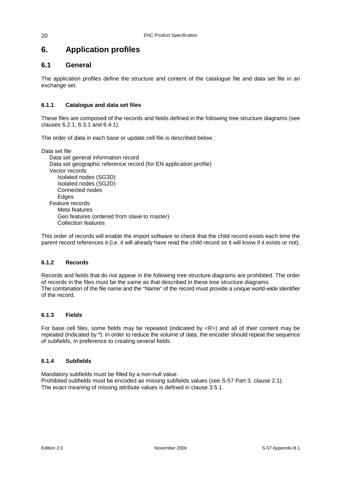# **6. Application profiles**

## **6.1 General**

20

The application profiles define the structure and content of the catalogue file and data set file in an exchange set.

## **6.1.1 Catalogue and data set files**

These files are composed of the records and fields defined in the following tree structure diagrams (see clauses 6.2.1, 6.3.1 and 6.4.1).

The order of data in each base or update cell file is described below :

Data set file Data set general information record Data set geographic reference record (for EN application profile) Vector records Isolated nodes (SG3D) Isolated nodes (SG2D) Connected nodes **Edges** Feature records Meta features Geo features (ordered from slave to master) Collection features

This order of records will enable the import software to check that the child record exists each time the parent record references it (i.e. it will already have read the child record so it will know if it exists or not).

#### **6.1.2 Records**

Records and fields that do not appear in the following tree structure diagrams are prohibited. The order of records in the files must be the same as that described in these tree structure diagrams. The combination of the file name and the "Name" of the record must provide a unique world-wide identifier of the record.

#### **6.1.3 Fields**

For base cell files, some fields may be repeated (indicated by  $\langle R \rangle$ ) and all of their content may be repeated (indicated by \*). In order to reduce the volume of data, the encoder should repeat the sequence of subfields, in preference to creating several fields.

#### **6.1.4 Subfields**

Mandatory subfields must be filled by a non-null value. Prohibited subfields must be encoded as missing subfields values (see S-57 Part 3, clause 2.1). The exact meaning of missing attribute values is defined in clause 3.5.1.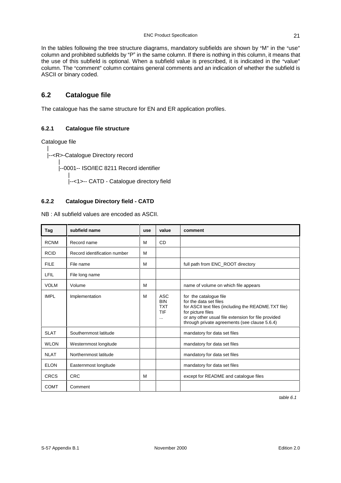In the tables following the tree structure diagrams, mandatory subfields are shown by "M" in the "use" column and prohibited subfields by "P" in the same column. If there is nothing in this column, it means that the use of this subfield is optional. When a subfield value is prescribed, it is indicated in the "value" column. The "comment" column contains general comments and an indication of whether the subfield is ASCII or binary coded.

## **6.2 Catalogue file**

The catalogue has the same structure for EN and ER application profiles.

## **6.2.1 Catalogue file structure**

Catalogue file

| |--<R>-Catalogue Directory record

> | |--0001-- ISO/IEC 8211 Record identifier

| |--<1>-- CATD - Catalogue directory field

#### **6.2.2 Catalogue Directory field - CATD**

NB : All subfield values are encoded as ASCII.

| Tag         | subfield name                | use | value                                                     | comment                                                                                                                                                                                                                               |
|-------------|------------------------------|-----|-----------------------------------------------------------|---------------------------------------------------------------------------------------------------------------------------------------------------------------------------------------------------------------------------------------|
| <b>RCNM</b> | Record name                  | м   | <b>CD</b>                                                 |                                                                                                                                                                                                                                       |
| <b>RCID</b> | Record identification number | М   |                                                           |                                                                                                                                                                                                                                       |
| <b>FILE</b> | File name                    | M   |                                                           | full path from ENC ROOT directory                                                                                                                                                                                                     |
| LFIL        | File long name               |     |                                                           |                                                                                                                                                                                                                                       |
| <b>VOLM</b> | Volume                       | M   |                                                           | name of volume on which file appears                                                                                                                                                                                                  |
| <b>IMPL</b> | Implementation               | M   | <b>ASC</b><br><b>BIN</b><br><b>TXT</b><br>TIF<br>$\cdots$ | for the catalogue file<br>for the data set files<br>for ASCII text files (including the README.TXT file)<br>for picture files<br>or any other usual file extension for file provided<br>through private agreements (see clause 5.6.4) |
| <b>SLAT</b> | Southernmost latitude        |     |                                                           | mandatory for data set files                                                                                                                                                                                                          |
| <b>WLON</b> | Westernmost longitude        |     |                                                           | mandatory for data set files                                                                                                                                                                                                          |
| <b>NLAT</b> | Northernmost latitude        |     |                                                           | mandatory for data set files                                                                                                                                                                                                          |
| <b>ELON</b> | Easternmost longitude        |     |                                                           | mandatory for data set files                                                                                                                                                                                                          |
| <b>CRCS</b> | <b>CRC</b>                   | M   |                                                           | except for README and catalogue files                                                                                                                                                                                                 |
| <b>COMT</b> | Comment                      |     |                                                           |                                                                                                                                                                                                                                       |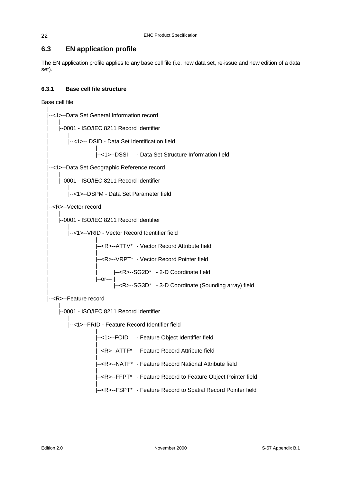# **6.3 EN application profile**

The EN application profile applies to any base cell file (i.e. new data set, re-issue and new edition of a data set).

## **6.3.1 Base cell file structure**

Base cell file

|

|

|

|

|--<1>--Data Set General Information record  $\vert$ | |--0001 - ISO/IEC 8211 Record Identifier  $\|$ | |--<1>-- DSID - Data Set Identification field | | |<br>|--<1>--DSSI - Data Set Structure Information field .<br>|--<1>--Data Set Geographic Reference record  $\vert$ | |--0001 - ISO/IEC 8211 Record Identifier  $| \cdot |$ | |--<1>--DSPM - Data Set Parameter field --<R>--Vector record | | | |--0001 - ISO/IEC 8211 Record Identifier  $\|$ |<br>|--<1>--VRID - Vector Record Identifier field | | |--<R>--ATTV\* - Vector Record Attribute field | | |--<R>--VRPT\* - Vector Record Pointer field | | | | |--<R>--SG2D\* - 2-D Coordinate field | |--or--- | | |--<R>--SG3D\* - 3-D Coordinate (Sounding array) field -<R>--Feature record | |--0001 - ISO/IEC 8211 Record Identifier | |--<1>--FRID - Feature Record Identifier field | |--<1>--FOID - Feature Object Identifier field | |--<R>--ATTF\* - Feature Record Attribute field | |--<R>--NATF\* - Feature Record National Attribute field | |--<R>--FFPT\* - Feature Record to Feature Object Pointer field | |--<R>--FSPT\* - Feature Record to Spatial Record Pointer field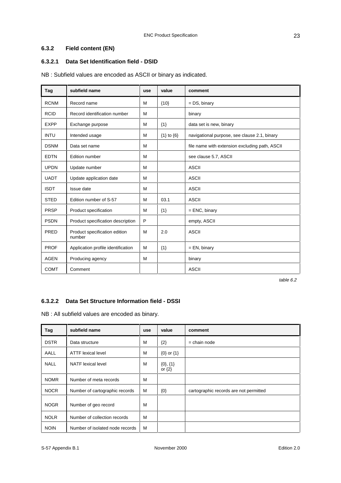## **6.3.2 Field content (EN)**

## **6.3.2.1 Data Set Identification field - DSID**

NB : Subfield values are encoded as ASCII or binary as indicated.

| Tag         | subfield name                           | use | value              | comment                                        |
|-------------|-----------------------------------------|-----|--------------------|------------------------------------------------|
| <b>RCNM</b> | Record name                             | м   | ${10}$             | $= DS$ , binary                                |
| <b>RCID</b> | Record identification number            | M   |                    | binary                                         |
| <b>EXPP</b> | Exchange purpose                        | M   | ${1}$              | data set is new, binary                        |
| <b>INTU</b> | Intended usage                          | M   | $\{1\}$ to $\{6\}$ | navigational purpose, see clause 2.1, binary   |
| <b>DSNM</b> | Data set name                           | M   |                    | file name with extension excluding path, ASCII |
| <b>EDTN</b> | <b>Edition number</b>                   | M   |                    | see clause 5.7, ASCII                          |
| <b>UPDN</b> | Update number                           | M   |                    | <b>ASCII</b>                                   |
| <b>UADT</b> | Update application date                 | M   |                    | <b>ASCII</b>                                   |
| <b>ISDT</b> | Issue date                              | M   |                    | <b>ASCII</b>                                   |
| <b>STED</b> | Edition number of S-57                  | M   | 03.1               | <b>ASCII</b>                                   |
| <b>PRSP</b> | Product specification                   | м   | ${1}$              | $=$ ENC, binary                                |
| <b>PSDN</b> | Product specification description       | P   |                    | empty, ASCII                                   |
| PRED        | Product specification edition<br>number | м   | 2.0                | <b>ASCII</b>                                   |
| <b>PROF</b> | Application profile identification      | M   | ${1}$              | $=$ EN, binary                                 |
| <b>AGEN</b> | Producing agency                        | M   |                    | binary                                         |
| <b>COMT</b> | Comment                                 |     |                    | <b>ASCII</b>                                   |

table 6.2

#### **6.3.2.2 Data Set Structure Information field - DSSI**

NB : All subfield values are encoded as binary.

| Tag         | subfield name                   | use | value                       | comment                                |
|-------------|---------------------------------|-----|-----------------------------|----------------------------------------|
| <b>DSTR</b> | Data structure                  | м   | ${2}$                       | $=$ chain node                         |
| AALL        | <b>ATTF lexical level</b>       | м   | ${0}$ or ${1}$              |                                        |
| <b>NALL</b> | <b>NATF</b> lexical level       | м   | $\{0\},\{1\}$<br>or $\{2\}$ |                                        |
| <b>NOMR</b> | Number of meta records          | M   |                             |                                        |
| <b>NOCR</b> | Number of cartographic records  | м   | $\{0\}$                     | cartographic records are not permitted |
| <b>NOGR</b> | Number of geo record            | м   |                             |                                        |
| <b>NOLR</b> | Number of collection records    | м   |                             |                                        |
| <b>NOIN</b> | Number of isolated node records | м   |                             |                                        |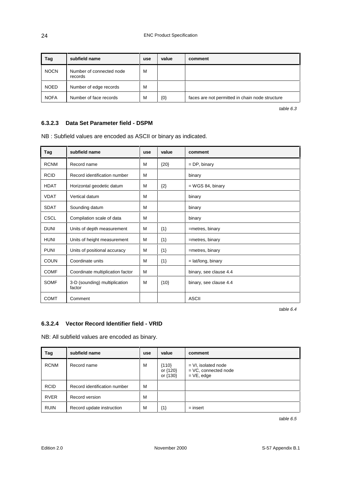| Tag         | subfield name                       | use | value | comment                                         |
|-------------|-------------------------------------|-----|-------|-------------------------------------------------|
| <b>NOCN</b> | Number of connected node<br>records | M   |       |                                                 |
| <b>NOED</b> | Number of edge records              | M   |       |                                                 |
| <b>NOFA</b> | Number of face records              | M   | ${0}$ | faces are not permitted in chain node structure |

table 6.3

#### **6.3.2.3 Data Set Parameter field - DSPM**

NB : Subfield values are encoded as ASCII or binary as indicated.

| Tag         | subfield name                           | use | value  | comment                |
|-------------|-----------------------------------------|-----|--------|------------------------|
| <b>RCNM</b> | Record name                             | м   | ${20}$ | $=$ DP, binary         |
| <b>RCID</b> | Record identification number            | м   |        | binary                 |
| <b>HDAT</b> | Horizontal geodetic datum               | M   | ${2}$  | $=$ WGS 84, binary     |
| <b>VDAT</b> | Vertical datum                          | M   |        | binary                 |
| <b>SDAT</b> | Sounding datum                          | M   |        | binary                 |
| <b>CSCL</b> | Compilation scale of data               | м   |        | binary                 |
| <b>DUNI</b> | Units of depth measurement              | M   | ${1}$  | =metres, binary        |
| <b>HUNI</b> | Units of height measurement             | м   | ${1}$  | =metres, binary        |
| <b>PUNI</b> | Units of positional accuracy            | м   | ${1}$  | =metres, binary        |
| <b>COUN</b> | Coordinate units                        | M   | ${1}$  | $=$ lat/long, binary   |
| <b>COMF</b> | Coordinate multiplication factor        | M   |        | binary, see clause 4.4 |
| <b>SOMF</b> | 3-D (sounding) multiplication<br>factor | M   | ${10}$ | binary, see clause 4.4 |
| <b>COMT</b> | Comment                                 |     |        | <b>ASCII</b>           |

table 6.4

#### **6.3.2.4 Vector Record Identifier field - VRID**

NB: All subfield values are encoded as binary.

| Tag         | subfield name                | use | value                           | comment                                                          |
|-------------|------------------------------|-----|---------------------------------|------------------------------------------------------------------|
| <b>RCNM</b> | Record name                  | M   | ${110}$<br>or {120}<br>or {130} | $= VI$ , isolated node<br>$=$ VC, connected node<br>$= VE, edge$ |
| <b>RCID</b> | Record identification number | м   |                                 |                                                                  |
| <b>RVER</b> | Record version               | M   |                                 |                                                                  |
| <b>RUIN</b> | Record update instruction    | M   | $\{1\}$                         | $=$ insert                                                       |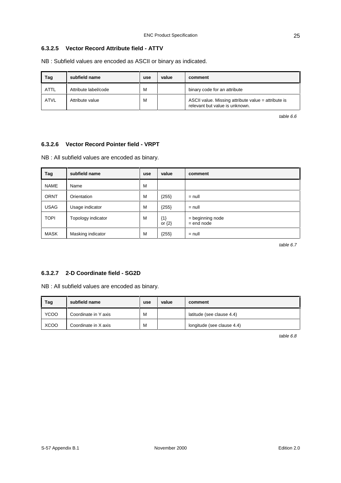## **6.3.2.5 Vector Record Attribute field - ATTV**

NB : Subfield values are encoded as ASCII or binary as indicated.

| Tag         | subfield name        | use | value | comment                                                                               |
|-------------|----------------------|-----|-------|---------------------------------------------------------------------------------------|
| <b>ATTL</b> | Attribute label/code | м   |       | binary code for an attribute                                                          |
| <b>ATVL</b> | Attribute value      | M   |       | ASCII value. Missing attribute value = attribute is<br>relevant but value is unknown. |

table 6.6

#### **6.3.2.6 Vector Record Pointer field - VRPT**

NB : All subfield values are encoded as binary.

| Tag         | subfield name      | use | value               | comment                          |
|-------------|--------------------|-----|---------------------|----------------------------------|
| <b>NAME</b> | Name               | M   |                     |                                  |
| <b>ORNT</b> | Orientation        | M   | ${255}$             | $=$ null                         |
| <b>USAG</b> | Usage indicator    | M   | ${255}$             | $=$ null                         |
| <b>TOPI</b> | Topology indicator | M   | ${1}$<br>or $\{2\}$ | = beginning node<br>$=$ end node |
| <b>MASK</b> | Masking indicator  | м   | ${255}$             | $=$ null                         |

table 6.7

#### **6.3.2.7 2-D Coordinate field - SG2D**

NB : All subfield values are encoded as binary.

| Tag         | subfield name        | use | value | comment                    |
|-------------|----------------------|-----|-------|----------------------------|
| <b>YCOO</b> | Coordinate in Y axis | M   |       | latitude (see clause 4.4)  |
| <b>XCOO</b> | Coordinate in X axis | M   |       | longitude (see clause 4.4) |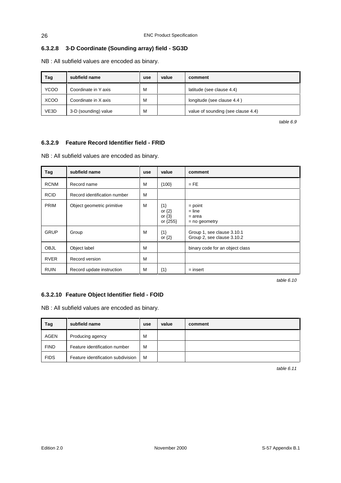## **6.3.2.8 3-D Coordinate (Sounding array) field - SG3D**

NB : All subfield values are encoded as binary.

| Tag         | subfield name        | use | value | comment                            |
|-------------|----------------------|-----|-------|------------------------------------|
| <b>YCOO</b> | Coordinate in Y axis | M   |       | latitude (see clause 4.4)          |
| XCOO        | Coordinate in X axis | M   |       | longitude (see clause 4.4)         |
| VE3D        | 3-D (sounding) value | M   |       | value of sounding (see clause 4.4) |

table 6.9

## **6.3.2.9 Feature Record Identifier field - FRID**

NB : All subfield values are encoded as binary.

| Tag         | subfield name                | use | value                                         | comment                                                  |
|-------------|------------------------------|-----|-----------------------------------------------|----------------------------------------------------------|
| <b>RCNM</b> | Record name                  | М   | ${100}$                                       | $=$ FE                                                   |
| <b>RCID</b> | Record identification number | М   |                                               |                                                          |
| <b>PRIM</b> | Object geometric primitive   | M   | ${1}$<br>or $\{2\}$<br>or $\{3\}$<br>or {255} | $=$ point<br>$=$ line<br>$=$ area<br>$=$ no geometry     |
| <b>GRUP</b> | Group                        | M   | ${1}$<br>or $\{2\}$                           | Group 1, see clause 3.10.1<br>Group 2, see clause 3.10.2 |
| <b>OBJL</b> | Object label                 | M   |                                               | binary code for an object class                          |
| <b>RVER</b> | Record version               | M   |                                               |                                                          |
| <b>RUIN</b> | Record update instruction    | M   | ${1}$                                         | $=$ insert                                               |

table 6.10

## **6.3.2.10 Feature Object Identifier field - FOID**

NB : All subfield values are encoded as binary.

| Tag         | subfield name                      | use | value | comment |
|-------------|------------------------------------|-----|-------|---------|
| <b>AGEN</b> | Producing agency                   | м   |       |         |
| <b>FIND</b> | Feature identification number      | M   |       |         |
| <b>FIDS</b> | Feature identification subdivision | M   |       |         |

table 6.11

26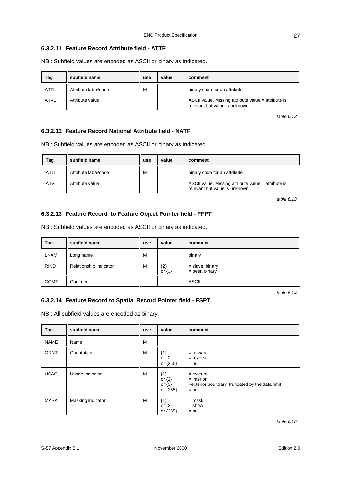#### **6.3.2.11 Feature Record Attribute field - ATTF**

NB : Subfield values are encoded as ASCII or binary as indicated.

| Tag  | subfield name        | use | value | comment                                                                               |
|------|----------------------|-----|-------|---------------------------------------------------------------------------------------|
| ATTL | Attribute label/code | м   |       | binary code for an attribute                                                          |
| ATVL | Attribute value      |     |       | ASCII value. Missing attribute value = attribute is<br>relevant but value is unknown. |

table 6.12

#### **6.3.2.12 Feature Record National Attribute field - NATF**

NB : Subfield values are encoded as ASCII or binary as indicated.

| Tag         | subfield name        | use | value | comment                                                                              |
|-------------|----------------------|-----|-------|--------------------------------------------------------------------------------------|
| <b>ATTL</b> | Attribute label/code | M   |       | binary code for an attribute                                                         |
| <b>ATVL</b> | Attribute value      |     |       | ASCII value. Missing attribute value = attribute is<br>relevant but value is unknown |

table 6.13

#### **6.3.2.13 Feature Record to Feature Object Pointer field - FFPT**

NB : Subfield values are encoded as ASCII or binary as indicated.

| Tag         | subfield name          | use | value               | comment                               |
|-------------|------------------------|-----|---------------------|---------------------------------------|
| <b>LNAM</b> | Long name              | M   |                     | binary                                |
| <b>RIND</b> | Relationship indicator | M   | ${2}$<br>or $\{3\}$ | $=$ slave, binary<br>$=$ peer, binary |
| <b>COMT</b> | Comment                |     |                     | <b>ASCII</b>                          |

table 6.14

## **6.3.2.14 Feature Record to Spatial Record Pointer field - FSPT**

NB : All subfield values are encoded as binary.

| Tag         | subfield name     | use | value                                         | comment                                                                                     |
|-------------|-------------------|-----|-----------------------------------------------|---------------------------------------------------------------------------------------------|
| <b>NAME</b> | Name              | M   |                                               |                                                                                             |
| <b>ORNT</b> | Orientation       | M   | ${1}$<br>or $\{2\}$<br>or {255}               | $=$ forward<br>$=$ reverse<br>$=$ null                                                      |
| <b>USAG</b> | Usage indicator   | M   | ${1}$<br>or $\{2\}$<br>or $\{3\}$<br>or {255} | $=$ exterior<br>$=$ interior<br>=exterior boundary, truncated by the data limit<br>$=$ null |
| <b>MASK</b> | Masking indicator | м   | ${1}$<br>or $\{2\}$<br>or {255}               | $=$ mask<br>$=$ show<br>$=$ null                                                            |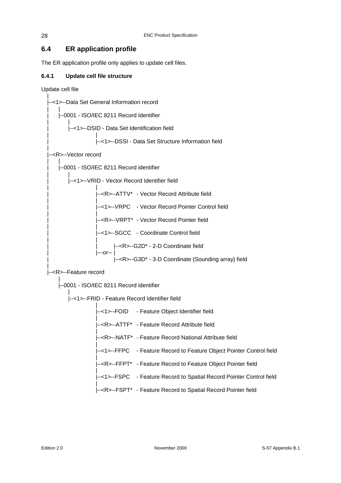# **6.4 ER application profile**

The ER application profile only applies to update cell files.

## **6.4.1 Update cell file structure**

Update cell file

|

| --<1>--Data Set General Information record                                                                                       |
|----------------------------------------------------------------------------------------------------------------------------------|
| --0001 - ISO/IEC 8211 Record Identifier                                                                                          |
| --<1>--DSID - Data Set Identification field                                                                                      |
| --<1>--DSSI - Data Set Structure Information field                                                                               |
| -- <r>--Vector record</r>                                                                                                        |
| --0001 - ISO/IEC 8211 Record identifier                                                                                          |
| --<1>--VRID - Vector Record Identifier field                                                                                     |
| -- <r>--ATTV* - Vector Record Attribute field</r>                                                                                |
| --<1>--VRPC - Vector Record Pointer Control field                                                                                |
| -- <r>--VRPT* - Vector Record Pointer field</r>                                                                                  |
| --<1>--SGCC - Coordinate Control field                                                                                           |
|                                                                                                                                  |
| --- <r>--G2D* - 2-D Coordinate field<br/> ---or--  <br/> ---or--    ---<r>--G3D* - 3-D Coordinate (Sounding array) field</r></r> |
| l-- <r>--Feature record</r>                                                                                                      |
| --0001 - ISO/IEC 8211 Record identifier                                                                                          |
| --<1>--FRID - Feature Record Identifier field                                                                                    |
| --<1>--FOID - Feature Object Identifier field                                                                                    |
| -- <r>--ATTF* - Feature Record Attribute field</r>                                                                               |
| -- <r>--NATF* - Feature Record National Attribute field</r>                                                                      |
| --<1>--FFPC - Feature Record to Feature Object Pointer Control field                                                             |
| -- <r>--FFPT* - Feature Record to Feature Object Pointer field</r>                                                               |
| --<1>--FSPC - Feature Record to Spatial Record Pointer Control field                                                             |
| -- <r>--FSPT* - Feature Record to Spatial Record Pointer field</r>                                                               |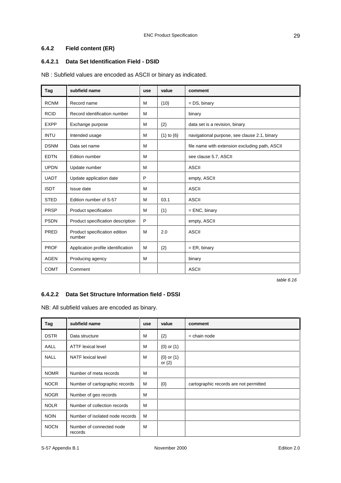## **6.4.2 Field content (ER)**

## **6.4.2.1 Data Set Identification Field - DSID**

NB : Subfield values are encoded as ASCII or binary as indicated.

| Tag         | subfield name                           | use | value              | comment                                        |
|-------------|-----------------------------------------|-----|--------------------|------------------------------------------------|
| <b>RCNM</b> | Record name                             | м   | ${10}$             | $= DS$ , binary                                |
| <b>RCID</b> | Record identification number            | M   |                    | binary                                         |
| <b>EXPP</b> | Exchange purpose                        | м   | ${2}$              | data set is a revision, binary                 |
| <b>INTU</b> | Intended usage                          | м   | $\{1\}$ to $\{6\}$ | navigational purpose, see clause 2.1, binary   |
| <b>DSNM</b> | Data set name                           | м   |                    | file name with extension excluding path, ASCII |
| <b>EDTN</b> | Edition number                          | м   |                    | see clause 5.7, ASCII                          |
| <b>UPDN</b> | Update number                           | м   |                    | <b>ASCII</b>                                   |
| <b>UADT</b> | Update application date                 | P   |                    | empty, ASCII                                   |
| <b>ISDT</b> | Issue date                              | м   |                    | <b>ASCII</b>                                   |
| <b>STED</b> | Edition number of S-57                  | M   | 03.1               | <b>ASCII</b>                                   |
| <b>PRSP</b> | Product specification                   | м   | ${1}$              | $=$ ENC, binary                                |
| <b>PSDN</b> | Product specification description       | P   |                    | empty, ASCII                                   |
| PRED        | Product specification edition<br>number | M   | 2.0                | <b>ASCII</b>                                   |
| <b>PROF</b> | Application profile identification      | M   | ${2}$              | $= ER, binary$                                 |
| <b>AGEN</b> | Producing agency                        | M   |                    | binary                                         |
| <b>COMT</b> | Comment                                 |     |                    | <b>ASCII</b>                                   |

table 6.16

#### **6.4.2.2 Data Set Structure Information field - DSSI**

NB: All subfield values are encoded as binary.

| Tag         | subfield name                       | use | value                        | comment                                |
|-------------|-------------------------------------|-----|------------------------------|----------------------------------------|
| <b>DSTR</b> | Data structure                      | м   | ${2}$                        | $=$ chain node                         |
| AALL        | <b>ATTF lexical level</b>           | м   | $\{0\}$ or $\{1\}$           |                                        |
| <b>NALL</b> | <b>NATF</b> lexical level           | м   | ${0}$ or ${1}$<br>or $\{2\}$ |                                        |
| <b>NOMR</b> | Number of meta records              | м   |                              |                                        |
| <b>NOCR</b> | Number of cartographic records      | м   | $\{0\}$                      | cartographic records are not permitted |
| <b>NOGR</b> | Number of geo records               | M   |                              |                                        |
| <b>NOLR</b> | Number of collection records        | м   |                              |                                        |
| <b>NOIN</b> | Number of isolated node records     | M   |                              |                                        |
| <b>NOCN</b> | Number of connected node<br>records | м   |                              |                                        |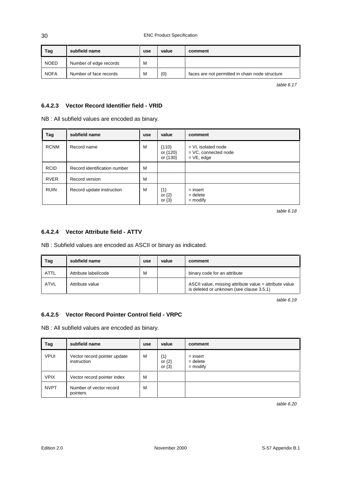| Tag         | subfield name          | use | value   | comment                                         |
|-------------|------------------------|-----|---------|-------------------------------------------------|
| <b>NOED</b> | Number of edge records | M   |         |                                                 |
| <b>NOFA</b> | Number of face records | M   | $\{0\}$ | faces are not permitted in chain node structure |

table 6.17

### **6.4.2.3 Vector Record Identifier field - VRID**

NB : All subfield values are encoded as binary.

| Tag         | subfield name                | use | value                             | comment                                                          |
|-------------|------------------------------|-----|-----------------------------------|------------------------------------------------------------------|
| <b>RCNM</b> | Record name                  | м   | ${110}$<br>or {120}<br>or {130}   | $= VI$ , isolated node<br>$=$ VC, connected node<br>$= VE, edge$ |
| <b>RCID</b> | Record identification number | M   |                                   |                                                                  |
| <b>RVER</b> | Record version               | м   |                                   |                                                                  |
| <b>RUIN</b> | Record update instruction    | M   | ${1}$<br>or $\{2\}$<br>or $\{3\}$ | $=$ insert<br>$=$ delete<br>$=$ modify                           |

table 6.18

#### **6.4.2.4 Vector Attribute field - ATTV**

NB : Subfield values are encoded as ASCII or binary as indicated.

| Tag         | subfield name        | use | value | comment                                                                                            |
|-------------|----------------------|-----|-------|----------------------------------------------------------------------------------------------------|
| <b>ATTL</b> | Attribute label/code | M   |       | binary code for an attribute                                                                       |
| <b>ATVL</b> | Attribute value      |     |       | ASCII value, missing attribute value = attribute value<br>is deleted or unknown (see clause 3.5.1) |

table 6.19

#### **6.4.2.5 Vector Record Pointer Control field - VRPC**

NB : All subfield values are encoded as binary.

| Tag         | subfield name                               | use | value                             | comment                                |
|-------------|---------------------------------------------|-----|-----------------------------------|----------------------------------------|
| <b>VPUI</b> | Vector record pointer update<br>instruction | M   | ${1}$<br>or $\{2\}$<br>or $\{3\}$ | $=$ insert<br>$=$ delete<br>$=$ modify |
| <b>VPIX</b> | Vector record pointer index                 | M   |                                   |                                        |
| <b>NVPT</b> | Number of vector record<br>pointers         | M   |                                   |                                        |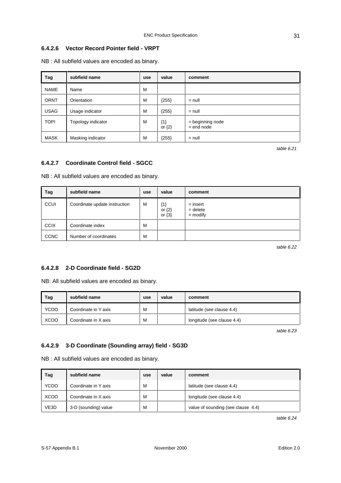## **6.4.2.6 Vector Record Pointer field - VRPT**

NB : All subfield values are encoded as binary.

| Tag         | subfield name      | use | value               | comment                          |
|-------------|--------------------|-----|---------------------|----------------------------------|
| <b>NAME</b> | Name               | M   |                     |                                  |
| <b>ORNT</b> | Orientation        | М   | ${255}$             | $=$ null                         |
| <b>USAG</b> | Usage indicator    | M   | ${255}$             | $=$ null                         |
| <b>TOPI</b> | Topology indicator | M   | ${1}$<br>or $\{2\}$ | = beginning node<br>$=$ end node |
| <b>MASK</b> | Masking indicator  | M   | ${255}$             | $=$ null                         |

table 6.21

#### **6.4.2.7 Coordinate Control field - SGCC**

NB : All subfield values are encoded as binary.

| Tag         | subfield name                 | use | value                             | comment                                |
|-------------|-------------------------------|-----|-----------------------------------|----------------------------------------|
| CCUI        | Coordinate update instruction | M   | ${1}$<br>or $\{2\}$<br>or $\{3\}$ | $=$ insert<br>$=$ delete<br>$=$ modify |
| <b>CCIX</b> | Coordinate index              | M   |                                   |                                        |
| <b>CCNC</b> | Number of coordinates         | M   |                                   |                                        |

table 6.22

#### **6.4.2.8 2-D Coordinate field - SG2D**

NB: All subfield values are encoded as binary.

| Tag         | subfield name        | use | value | comment                    |
|-------------|----------------------|-----|-------|----------------------------|
| <b>YCOO</b> | Coordinate in Y axis | M   |       | latitude (see clause 4.4)  |
| <b>XCOO</b> | Coordinate in X axis | м   |       | longitude (see clause 4.4) |

table 6.23

## **6.4.2.9 3-D Coordinate (Sounding array) field - SG3D**

NB : All subfield values are encoded as binary.

| Tag         | subfield name        | use | value | comment                            |
|-------------|----------------------|-----|-------|------------------------------------|
| <b>YCOO</b> | Coordinate in Y axis | М   |       | latitude (see clause 4.4)          |
| <b>XCOO</b> | Coordinate in X axis | M   |       | longitude (see clause 4.4)         |
| VE3D        | 3-D (sounding) value | м   |       | value of sounding (see clause 4.4) |

table 6.24

31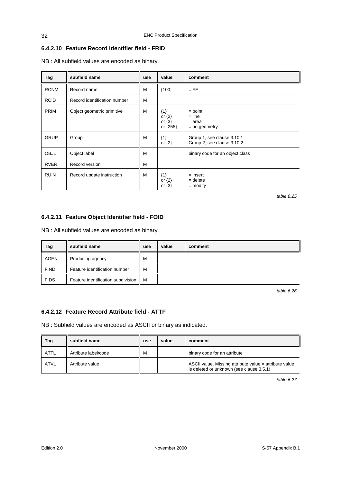## **6.4.2.10 Feature Record Identifier field - FRID**

NB : All subfield values are encoded as binary.

| Tag         | subfield name                | use | value                                         | comment                                                  |
|-------------|------------------------------|-----|-----------------------------------------------|----------------------------------------------------------|
| <b>RCNM</b> | Record name                  | M   | ${100}$                                       | $=$ FE                                                   |
| <b>RCID</b> | Record identification number | M   |                                               |                                                          |
| <b>PRIM</b> | Object geometric primitive   | M   | ${1}$<br>or $\{2\}$<br>or $\{3\}$<br>or {255} | $=$ point<br>$=$ line<br>$=$ area<br>$=$ no geometry     |
| <b>GRUP</b> | Group                        | M   | ${1}$<br>or $\{2\}$                           | Group 1, see clause 3.10.1<br>Group 2, see clause 3.10.2 |
| <b>OBJL</b> | Object label                 | M   |                                               | binary code for an object class                          |
| <b>RVER</b> | Record version               | M   |                                               |                                                          |
| <b>RUIN</b> | Record update instruction    | M   | ${1}$<br>or $\{2\}$<br>or $\{3\}$             | $=$ insert<br>$=$ delete<br>$=$ modify                   |

table 6.25

## **6.4.2.11 Feature Object Identifier field - FOID**

NB : All subfield values are encoded as binary.

| Tag         | subfield name                      | use | value | comment |
|-------------|------------------------------------|-----|-------|---------|
| <b>AGEN</b> | Producing agency                   | M   |       |         |
| <b>FIND</b> | Feature identification number      | M   |       |         |
| <b>FIDS</b> | Feature identification subdivision | M   |       |         |

table 6.26

## **6.4.2.12 Feature Record Attribute field - ATTF**

NB : Subfield values are encoded as ASCII or binary as indicated.

| Tag  | subfield name        | use | value | comment                                                                                            |
|------|----------------------|-----|-------|----------------------------------------------------------------------------------------------------|
| ATTL | Attribute label/code | M   |       | binary code for an attribute                                                                       |
| ATVL | Attribute value      |     |       | ASCII value. Missing attribute value = attribute value<br>is deleted or unknown (see clause 3.5.1) |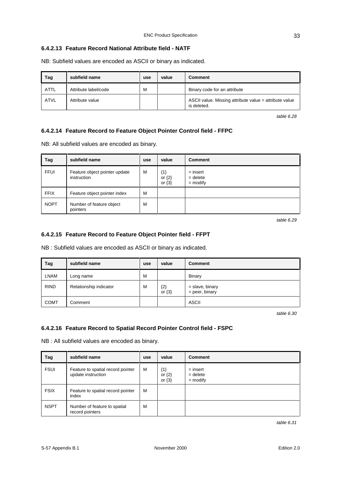#### **6.4.2.13 Feature Record National Attribute field - NATF**

NB: Subfield values are encoded as ASCII or binary as indicated.

| Tag         | subfield name        | use | value | <b>Comment</b>                                                        |
|-------------|----------------------|-----|-------|-----------------------------------------------------------------------|
| <b>ATTL</b> | Attribute label/code | M   |       | Binary code for an attribute                                          |
| <b>ATVL</b> | Attribute value      |     |       | ASCII value. Missing attribute value = attribute value<br>is deleted. |

table 6.28

#### **6.4.2.14 Feature Record to Feature Object Pointer Control field - FFPC**

NB: All subfield values are encoded as binary.

| Tag         | subfield name                                | use | value                             | <b>Comment</b>                         |
|-------------|----------------------------------------------|-----|-----------------------------------|----------------------------------------|
| <b>FFUI</b> | Feature object pointer update<br>instruction | M   | ${1}$<br>or $\{2\}$<br>or $\{3\}$ | $=$ insert<br>$=$ delete<br>$=$ modify |
| <b>FFIX</b> | Feature object pointer index                 | M   |                                   |                                        |
| <b>NOPT</b> | Number of feature object<br>pointers         | M   |                                   |                                        |

table 6.29

#### **6.4.2.15 Feature Record to Feature Object Pointer field - FFPT**

NB : Subfield values are encoded as ASCII or binary as indicated.

| Tag         | subfield name          | use | value               | <b>Comment</b>                        |
|-------------|------------------------|-----|---------------------|---------------------------------------|
| <b>LNAM</b> | Long name              | M   |                     | <b>Binary</b>                         |
| <b>RIND</b> | Relationship indicator | M   | ${2}$<br>or $\{3\}$ | $=$ slave, binary<br>$=$ peer, binary |
| <b>COMT</b> | Comment                |     |                     | <b>ASCII</b>                          |

table 6.30

#### **6.4.2.16 Feature Record to Spatial Record Pointer Control field - FSPC**

NB : All subfield values are encoded as binary.

| Tag         | subfield name                                           | use | value                             | <b>Comment</b>                         |
|-------------|---------------------------------------------------------|-----|-----------------------------------|----------------------------------------|
| <b>FSUI</b> | Feature to spatial record pointer<br>update instruction | M   | ${1}$<br>or $\{2\}$<br>or $\{3\}$ | $=$ insert<br>$=$ delete<br>$=$ modify |
| <b>FSIX</b> | Feature to spatial record pointer<br>index              | м   |                                   |                                        |
| <b>NSPT</b> | Number of feature to spatial<br>record pointers         | M   |                                   |                                        |